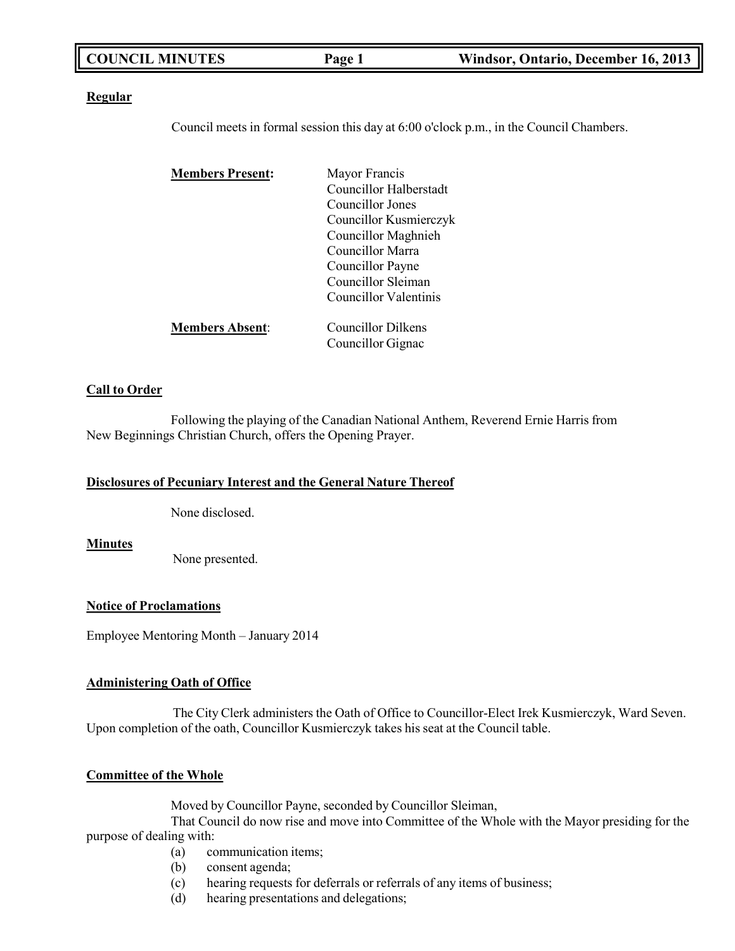| <b>COUNCIL MINUTES</b><br>Windsor, Ontario, December 16, 2013<br>Page 1 |
|-------------------------------------------------------------------------|
|-------------------------------------------------------------------------|

#### **Regular**

Council meets in formal session this day at 6:00 o'clock p.m., in the Council Chambers.

| <b>Members Present:</b> | Mayor Francis          |
|-------------------------|------------------------|
|                         | Councillor Halberstadt |
|                         | Councillor Jones       |
|                         | Councillor Kusmierczyk |
|                         | Councillor Maghnieh    |
|                         | Councillor Marra       |
|                         | Councillor Payne       |
|                         | Councillor Sleiman     |
|                         | Councillor Valentinis  |
| <b>Members Absent:</b>  | Councillor Dilkens     |
|                         | Councillor Gignac      |

#### **Call to Order**

Following the playing of the Canadian National Anthem, Reverend Ernie Harris from New Beginnings Christian Church, offers the Opening Prayer.

#### **Disclosures of Pecuniary Interest and the General Nature Thereof**

None disclosed.

**Minutes**

None presented.

### **Notice of Proclamations**

Employee Mentoring Month – January 2014

## **Administering Oath of Office**

The City Clerk administers the Oath of Office to Councillor-Elect Irek Kusmierczyk, Ward Seven. Upon completion of the oath, Councillor Kusmierczyk takes his seat at the Council table.

### **Committee of the Whole**

Moved by Councillor Payne, seconded by Councillor Sleiman,

That Council do now rise and move into Committee of the Whole with the Mayor presiding for the purpose of dealing with:

- (a) communication items;
- (b) consent agenda;
- (c) hearing requests for deferrals or referrals of any items of business;
- (d) hearing presentations and delegations;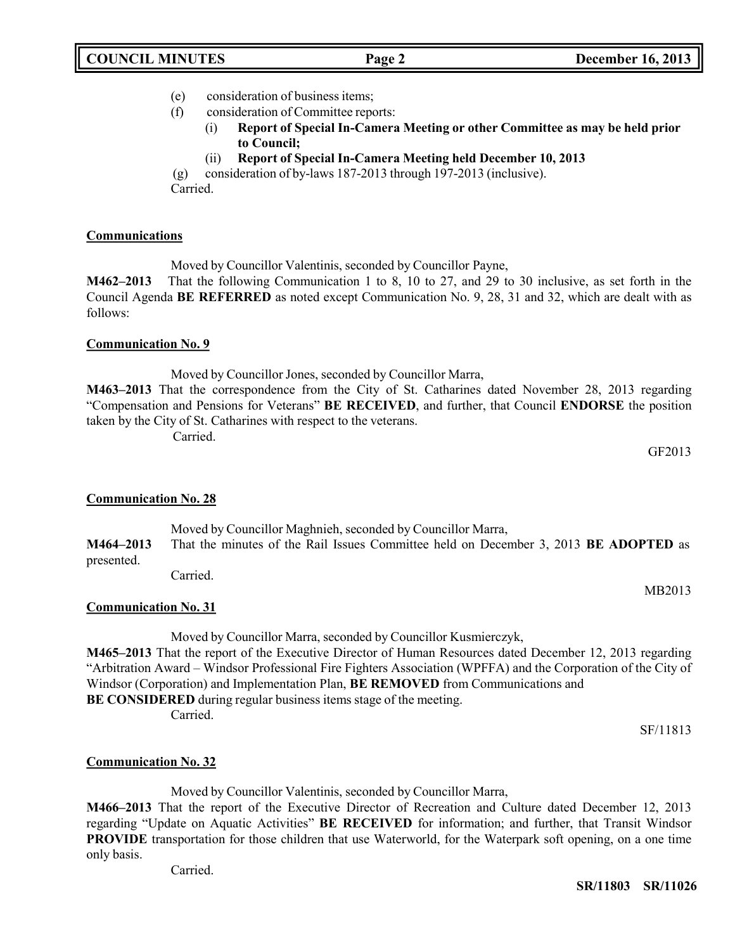- (e) consideration of business items;
- (f) consideration of Committee reports:
	- (i) **Report of Special In-Camera Meeting or other Committee as may be held prior to Council;**
		- (ii) **Report of Special In-Camera Meeting held December 10, 2013**

(g) consideration of by-laws 187-2013 through 197-2013 (inclusive). Carried.

## **Communications**

Moved by Councillor Valentinis, seconded by Councillor Payne,

**M462–2013** That the following Communication 1 to 8, 10 to 27, and 29 to 30 inclusive, as set forth in the Council Agenda **BE REFERRED** as noted except Communication No. 9, 28, 31 and 32, which are dealt with as follows:

## **Communication No. 9**

Moved by Councillor Jones, seconded by Councillor Marra,

**M463–2013** That the correspondence from the City of St. Catharines dated November 28, 2013 regarding "Compensation and Pensions for Veterans" **BE RECEIVED**, and further, that Council **ENDORSE** the position taken by the City of St. Catharines with respect to the veterans.

Carried.

GF2013

MB2013

## **Communication No. 28**

Moved by Councillor Maghnieh, seconded by Councillor Marra, **M464–2013** That the minutes of the Rail Issues Committee held on December 3, 2013 **BE ADOPTED** as presented.

Carried.

## **Communication No. 31**

Moved by Councillor Marra, seconded by Councillor Kusmierczyk,

**M465–2013** That the report of the Executive Director of Human Resources dated December 12, 2013 regarding "Arbitration Award – Windsor Professional Fire Fighters Association (WPFFA) and the Corporation of the City of Windsor (Corporation) and Implementation Plan, **BE REMOVED** from Communications and **BE CONSIDERED** during regular business items stage of the meeting.

Carried.

SF/11813

## **Communication No. 32**

Moved by Councillor Valentinis, seconded by Councillor Marra,

**M466–2013** That the report of the Executive Director of Recreation and Culture dated December 12, 2013 regarding "Update on Aquatic Activities" **BE RECEIVED** for information; and further, that Transit Windsor **PROVIDE** transportation for those children that use Waterworld, for the Waterpark soft opening, on a one time only basis.

Carried.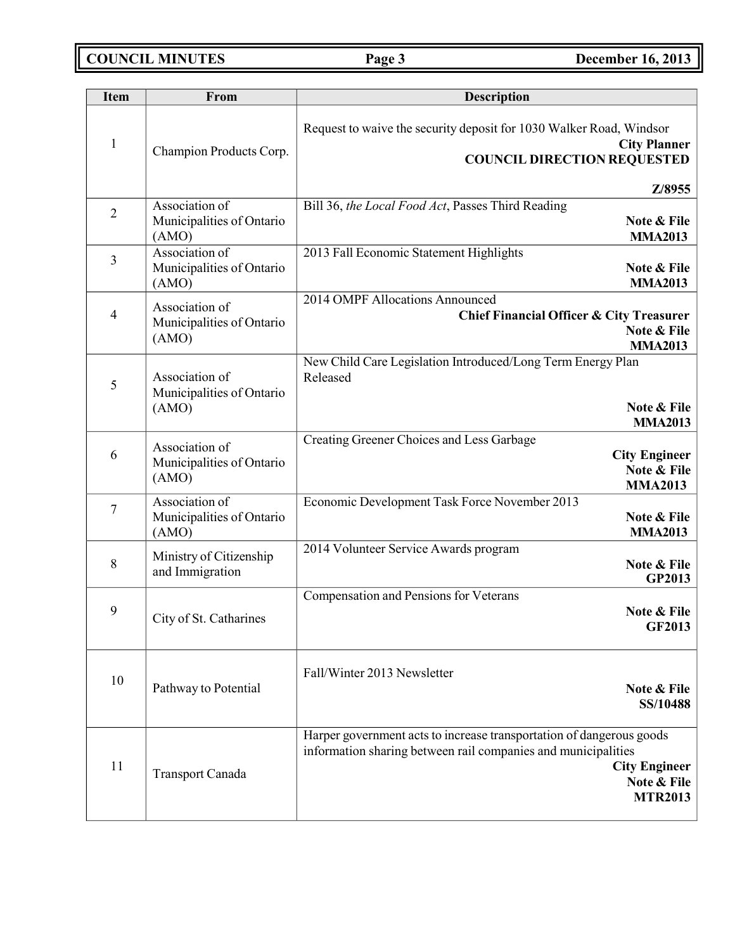**COUNCIL MINUTES Page 3 December 16, 2013**

| <b>Item</b>    | From                                                 | <b>Description</b>                                                                                                                                                                             |
|----------------|------------------------------------------------------|------------------------------------------------------------------------------------------------------------------------------------------------------------------------------------------------|
| $\mathbf{1}$   | Champion Products Corp.                              | Request to waive the security deposit for 1030 Walker Road, Windsor<br><b>City Planner</b><br><b>COUNCIL DIRECTION REQUESTED</b><br>Z/8955                                                     |
| $\overline{2}$ | Association of<br>Municipalities of Ontario<br>(AMO) | Bill 36, the Local Food Act, Passes Third Reading<br>Note & File<br><b>MMA2013</b>                                                                                                             |
| 3              | Association of<br>Municipalities of Ontario<br>(AMO) | 2013 Fall Economic Statement Highlights<br>Note & File<br><b>MMA2013</b>                                                                                                                       |
| 4              | Association of<br>Municipalities of Ontario<br>(AMO) | 2014 OMPF Allocations Announced<br>Chief Financial Officer & City Treasurer<br>Note & File<br><b>MMA2013</b>                                                                                   |
| 5              | Association of<br>Municipalities of Ontario<br>(AMO) | New Child Care Legislation Introduced/Long Term Energy Plan<br>Released<br>Note & File<br><b>MMA2013</b>                                                                                       |
| 6              | Association of<br>Municipalities of Ontario<br>(AMO) | Creating Greener Choices and Less Garbage<br><b>City Engineer</b><br>Note & File<br><b>MMA2013</b>                                                                                             |
| $\tau$         | Association of<br>Municipalities of Ontario<br>(AMO) | Economic Development Task Force November 2013<br>Note & File<br><b>MMA2013</b>                                                                                                                 |
| 8              | Ministry of Citizenship<br>and Immigration           | 2014 Volunteer Service Awards program<br>Note & File<br><b>GP2013</b>                                                                                                                          |
| 9              | City of St. Catharines                               | Compensation and Pensions for Veterans<br>Note & File<br><b>GF2013</b>                                                                                                                         |
| 10             | Pathway to Potential                                 | Fall/Winter 2013 Newsletter<br>Note & File<br>SS/10488                                                                                                                                         |
| 11             | <b>Transport Canada</b>                              | Harper government acts to increase transportation of dangerous goods<br>information sharing between rail companies and municipalities<br><b>City Engineer</b><br>Note & File<br><b>MTR2013</b> |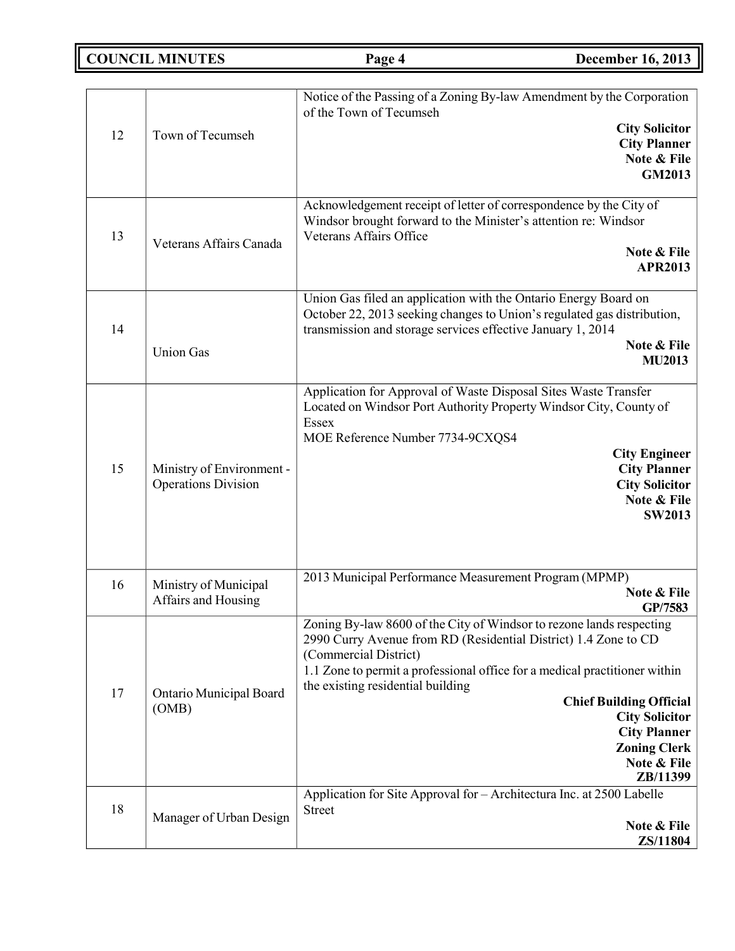**COUNCIL MINUTES Page 4 December 16, 2013**

| 12 | Town of Tecumseh                                        | Notice of the Passing of a Zoning By-law Amendment by the Corporation<br>of the Town of Tecumseh<br><b>City Solicitor</b><br><b>City Planner</b><br>Note & File<br><b>GM2013</b>                                                                                                                                                                                                                                        |
|----|---------------------------------------------------------|-------------------------------------------------------------------------------------------------------------------------------------------------------------------------------------------------------------------------------------------------------------------------------------------------------------------------------------------------------------------------------------------------------------------------|
| 13 | Veterans Affairs Canada                                 | Acknowledgement receipt of letter of correspondence by the City of<br>Windsor brought forward to the Minister's attention re: Windsor<br>Veterans Affairs Office<br>Note & File<br><b>APR2013</b>                                                                                                                                                                                                                       |
| 14 | <b>Union Gas</b>                                        | Union Gas filed an application with the Ontario Energy Board on<br>October 22, 2013 seeking changes to Union's regulated gas distribution,<br>transmission and storage services effective January 1, 2014<br>Note & File<br><b>MU2013</b>                                                                                                                                                                               |
| 15 | Ministry of Environment -<br><b>Operations Division</b> | Application for Approval of Waste Disposal Sites Waste Transfer<br>Located on Windsor Port Authority Property Windsor City, County of<br>Essex<br>MOE Reference Number 7734-9CXQS4<br><b>City Engineer</b><br><b>City Planner</b><br><b>City Solicitor</b><br>Note & File<br><b>SW2013</b>                                                                                                                              |
| 16 | Ministry of Municipal<br>Affairs and Housing            | 2013 Municipal Performance Measurement Program (MPMP)<br>Note & File<br>GP/7583                                                                                                                                                                                                                                                                                                                                         |
| 17 | Ontario Municipal Board<br>(OMB)                        | Zoning By-law 8600 of the City of Windsor to rezone lands respecting<br>2990 Curry Avenue from RD (Residential District) 1.4 Zone to CD<br>(Commercial District)<br>1.1 Zone to permit a professional office for a medical practitioner within<br>the existing residential building<br><b>Chief Building Official</b><br><b>City Solicitor</b><br><b>City Planner</b><br><b>Zoning Clerk</b><br>Note & File<br>ZB/11399 |
| 18 | Manager of Urban Design                                 | Application for Site Approval for - Architectura Inc. at 2500 Labelle<br><b>Street</b><br>Note & File<br>ZS/11804                                                                                                                                                                                                                                                                                                       |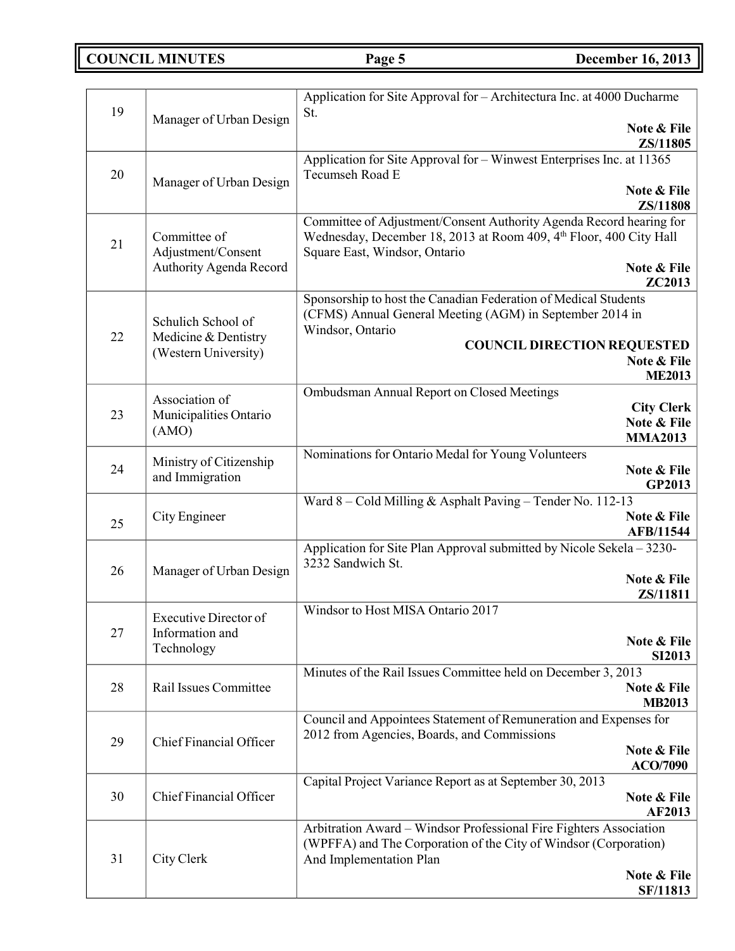**COUNCIL MINUTES Page 5 December 16, 2013**

| 19 | Manager of Urban Design                    | Application for Site Approval for - Architectura Inc. at 4000 Ducharme<br>St.                                                                                                         |
|----|--------------------------------------------|---------------------------------------------------------------------------------------------------------------------------------------------------------------------------------------|
|    |                                            | Note & File<br>ZS/11805                                                                                                                                                               |
| 20 | Manager of Urban Design                    | Application for Site Approval for - Winwest Enterprises Inc. at 11365<br>Tecumseh Road E                                                                                              |
|    |                                            | Note & File<br>ZS/11808                                                                                                                                                               |
| 21 | Committee of<br>Adjustment/Consent         | Committee of Adjustment/Consent Authority Agenda Record hearing for<br>Wednesday, December 18, 2013 at Room 409, 4th Floor, 400 City Hall<br>Square East, Windsor, Ontario            |
|    | Authority Agenda Record                    | Note & File<br>ZC2013                                                                                                                                                                 |
| 22 | Schulich School of<br>Medicine & Dentistry | Sponsorship to host the Canadian Federation of Medical Students<br>(CFMS) Annual General Meeting (AGM) in September 2014 in<br>Windsor, Ontario<br><b>COUNCIL DIRECTION REQUESTED</b> |
|    | (Western University)                       | Note & File<br><b>ME2013</b>                                                                                                                                                          |
|    | Association of                             | <b>Ombudsman Annual Report on Closed Meetings</b>                                                                                                                                     |
| 23 | Municipalities Ontario                     | <b>City Clerk</b><br>Note & File                                                                                                                                                      |
|    | (AMO)                                      | <b>MMA2013</b>                                                                                                                                                                        |
| 24 | Ministry of Citizenship<br>and Immigration | Nominations for Ontario Medal for Young Volunteers<br>Note & File<br>GP2013                                                                                                           |
| 25 | City Engineer                              | Ward 8 - Cold Milling & Asphalt Paving - Tender No. 112-13<br>Note & File                                                                                                             |
|    |                                            | <b>AFB/11544</b><br>Application for Site Plan Approval submitted by Nicole Sekela - 3230-                                                                                             |
| 26 | Manager of Urban Design                    | 3232 Sandwich St.                                                                                                                                                                     |
|    |                                            | Note & File<br>ZS/11811                                                                                                                                                               |
|    | Executive Director of                      | Windsor to Host MISA Ontario 2017                                                                                                                                                     |
| 27 | Information and<br>Technology              | Note & File<br><b>SI2013</b>                                                                                                                                                          |
| 28 | Rail Issues Committee                      | Minutes of the Rail Issues Committee held on December 3, 2013<br>Note & File                                                                                                          |
|    |                                            | <b>MB2013</b>                                                                                                                                                                         |
| 29 | Chief Financial Officer                    | Council and Appointees Statement of Remuneration and Expenses for<br>2012 from Agencies, Boards, and Commissions                                                                      |
|    |                                            | Note & File<br><b>ACO/7090</b>                                                                                                                                                        |
| 30 | Chief Financial Officer                    | Capital Project Variance Report as at September 30, 2013<br>Note & File<br>AF2013                                                                                                     |
| 31 | City Clerk                                 | Arbitration Award - Windsor Professional Fire Fighters Association<br>(WPFFA) and The Corporation of the City of Windsor (Corporation)<br>And Implementation Plan                     |
|    |                                            | Note & File<br>SF/11813                                                                                                                                                               |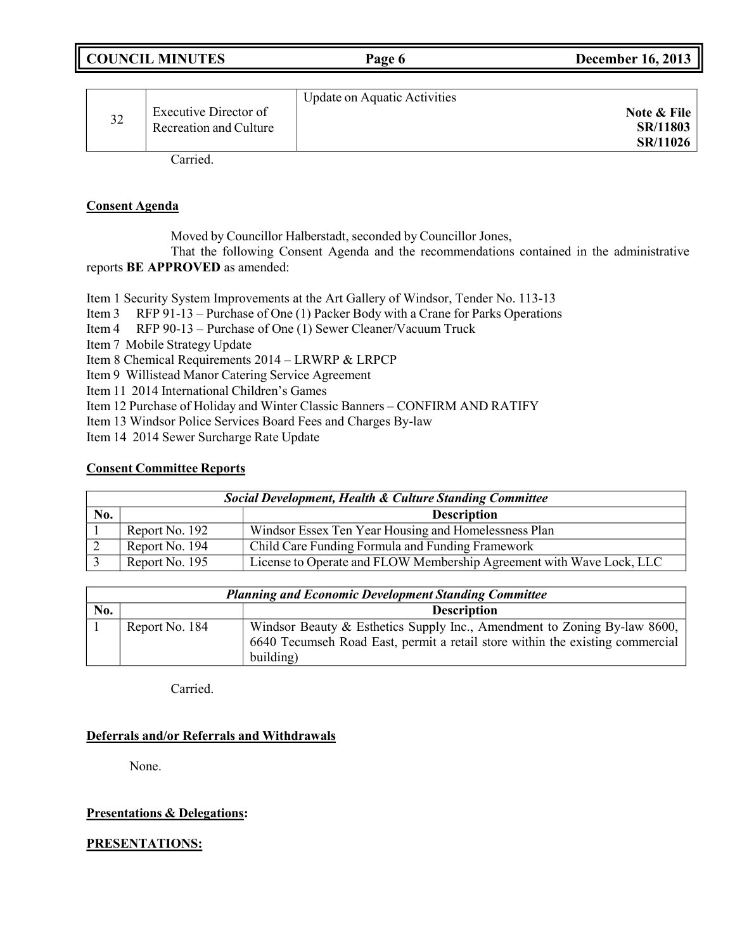| <b>COUNCIL MINUTES</b> | Page | <b>December 16, 2013</b> |
|------------------------|------|--------------------------|
|                        |      |                          |

| 32 | Executive Director of<br>Recreation and Culture | <b>Update on Aquatic Activities</b> | Note & File<br>SR/11803<br>SR/11026 |
|----|-------------------------------------------------|-------------------------------------|-------------------------------------|
|    | $\sim$ $\sim$ 1                                 |                                     |                                     |

Carried.

### **Consent Agenda**

Moved by Councillor Halberstadt, seconded by Councillor Jones,

That the following Consent Agenda and the recommendations contained in the administrative reports **BE APPROVED** as amended:

Item 1 Security System Improvements at the Art Gallery of Windsor, Tender No. 113-13

Item 3 RFP 91-13 – Purchase of One (1) Packer Body with a Crane for Parks Operations

Item 4 RFP 90-13 – Purchase of One (1) Sewer Cleaner/Vacuum Truck

Item 7 Mobile Strategy Update

Item 8 Chemical Requirements 2014 – LRWRP & LRPCP

Item 9 Willistead Manor Catering Service Agreement

Item 11 2014 International Children's Games

Item 12 Purchase of Holiday and Winter Classic Banners – CONFIRM AND RATIFY

Item 13 Windsor Police Services Board Fees and Charges By-law

Item 14 2014 Sewer Surcharge Rate Update

## **Consent Committee Reports**

| Social Development, Health & Culture Standing Committee |                    |                                                                      |  |
|---------------------------------------------------------|--------------------|----------------------------------------------------------------------|--|
| No.                                                     | <b>Description</b> |                                                                      |  |
|                                                         | Report No. 192     | Windsor Essex Ten Year Housing and Homelessness Plan                 |  |
|                                                         | Report No. 194     | Child Care Funding Formula and Funding Framework                     |  |
|                                                         | Report No. 195     | License to Operate and FLOW Membership Agreement with Wave Lock, LLC |  |

| <b>Planning and Economic Development Standing Committee</b> |                |                                                                                                                                                                        |
|-------------------------------------------------------------|----------------|------------------------------------------------------------------------------------------------------------------------------------------------------------------------|
| No.                                                         |                | <b>Description</b>                                                                                                                                                     |
|                                                             | Report No. 184 | Windsor Beauty & Esthetics Supply Inc., Amendment to Zoning By-law 8600,<br>6640 Tecumseh Road East, permit a retail store within the existing commercial<br>building) |

Carried.

## **Deferrals and/or Referrals and Withdrawals**

None.

## **Presentations & Delegations:**

**PRESENTATIONS:**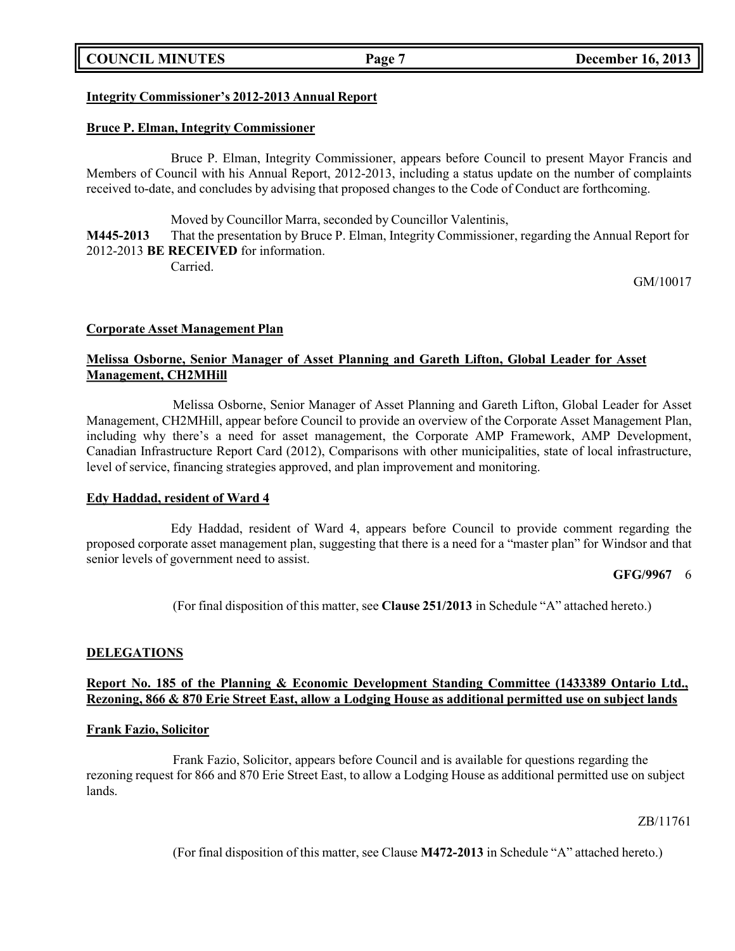## **COUNCIL MINUTES Page 7 December 16, 2013**

#### **Integrity Commissioner's 2012-2013 Annual Report**

#### **Bruce P. Elman, Integrity Commissioner**

Bruce P. Elman, Integrity Commissioner, appears before Council to present Mayor Francis and Members of Council with his Annual Report, 2012-2013, including a status update on the number of complaints received to-date, and concludes by advising that proposed changes to the Code of Conduct are forthcoming.

Moved by Councillor Marra, seconded by Councillor Valentinis, **M445-2013** That the presentation by Bruce P. Elman, Integrity Commissioner, regarding the Annual Report for 2012-2013 **BE RECEIVED** for information. Carried.

GM/10017

#### **Corporate Asset Management Plan**

## **Melissa Osborne, Senior Manager of Asset Planning and Gareth Lifton, Global Leader for Asset Management, CH2MHill**

Melissa Osborne, Senior Manager of Asset Planning and Gareth Lifton, Global Leader for Asset Management, CH2MHill, appear before Council to provide an overview of the Corporate Asset Management Plan, including why there's a need for asset management, the Corporate AMP Framework, AMP Development, Canadian Infrastructure Report Card (2012), Comparisons with other municipalities, state of local infrastructure, level of service, financing strategies approved, and plan improvement and monitoring.

#### **Edy Haddad, resident of Ward 4**

Edy Haddad, resident of Ward 4, appears before Council to provide comment regarding the proposed corporate asset management plan, suggesting that there is a need for a "master plan" for Windsor and that senior levels of government need to assist.

### **GFG/9967** 6

(For final disposition of this matter, see **Clause 251/2013** in Schedule "A" attached hereto.)

#### **DELEGATIONS**

#### **Report No. 185 of the Planning & Economic Development Standing Committee (1433389 Ontario Ltd.,** Rezoning, 866 & 870 Erie Street East, allow a Lodging House as additional permitted use on subject lands

#### **Frank Fazio, Solicitor**

Frank Fazio, Solicitor, appears before Council and is available for questions regarding the rezoning request for 866 and 870 Erie Street East, to allow a Lodging House as additional permitted use on subject lands.

ZB/11761

(For final disposition of this matter, see Clause **M472-2013** in Schedule "A" attached hereto.)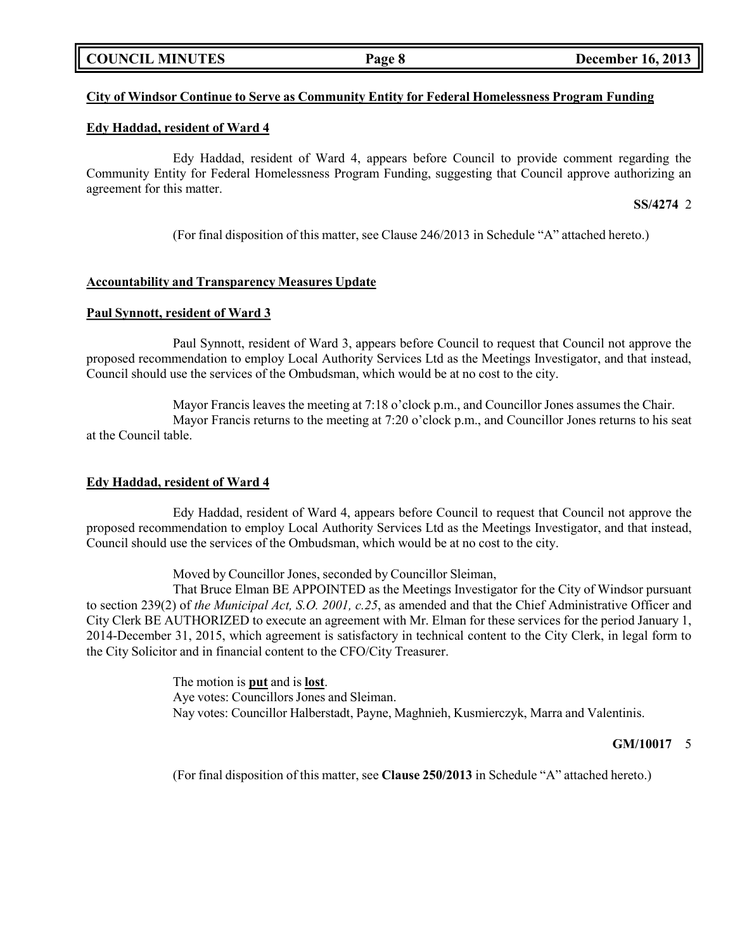### **COUNCIL MINUTES Page 8 December 16, 2013**

### **City of Windsor Continue to Serve as Community Entity for Federal Homelessness Program Funding**

#### **Edy Haddad, resident of Ward 4**

Edy Haddad, resident of Ward 4, appears before Council to provide comment regarding the Community Entity for Federal Homelessness Program Funding, suggesting that Council approve authorizing an agreement for this matter.

**SS/4274** 2

(For final disposition of this matter, see Clause 246/2013 in Schedule "A" attached hereto.)

#### **Accountability and Transparency Measures Update**

### **Paul Synnott, resident of Ward 3**

Paul Synnott, resident of Ward 3, appears before Council to request that Council not approve the proposed recommendation to employ Local Authority Services Ltd as the Meetings Investigator, and that instead, Council should use the services of the Ombudsman, which would be at no cost to the city.

Mayor Francis leaves the meeting at 7:18 o'clock p.m., and Councillor Jones assumes the Chair. Mayor Francis returns to the meeting at 7:20 o'clock p.m., and Councillor Jones returns to his seat at the Council table.

#### **Edy Haddad, resident of Ward 4**

Edy Haddad, resident of Ward 4, appears before Council to request that Council not approve the proposed recommendation to employ Local Authority Services Ltd as the Meetings Investigator, and that instead, Council should use the services of the Ombudsman, which would be at no cost to the city.

Moved by Councillor Jones, seconded by Councillor Sleiman,

That Bruce Elman BE APPOINTED as the Meetings Investigator for the City of Windsor pursuant to section 239(2) of *the Municipal Act, S.O. 2001, c.25*, as amended and that the Chief Administrative Officer and City Clerk BE AUTHORIZED to execute an agreement with Mr. Elman for these services for the period January 1, 2014-December 31, 2015, which agreement is satisfactory in technical content to the City Clerk, in legal form to the City Solicitor and in financial content to the CFO/City Treasurer.

> The motion is **put** and is **lost**. Aye votes: Councillors Jones and Sleiman. Nay votes: Councillor Halberstadt, Payne, Maghnieh, Kusmierczyk, Marra and Valentinis.

#### **GM/10017** 5

(For final disposition of this matter, see **Clause 250/2013** in Schedule "A" attached hereto.)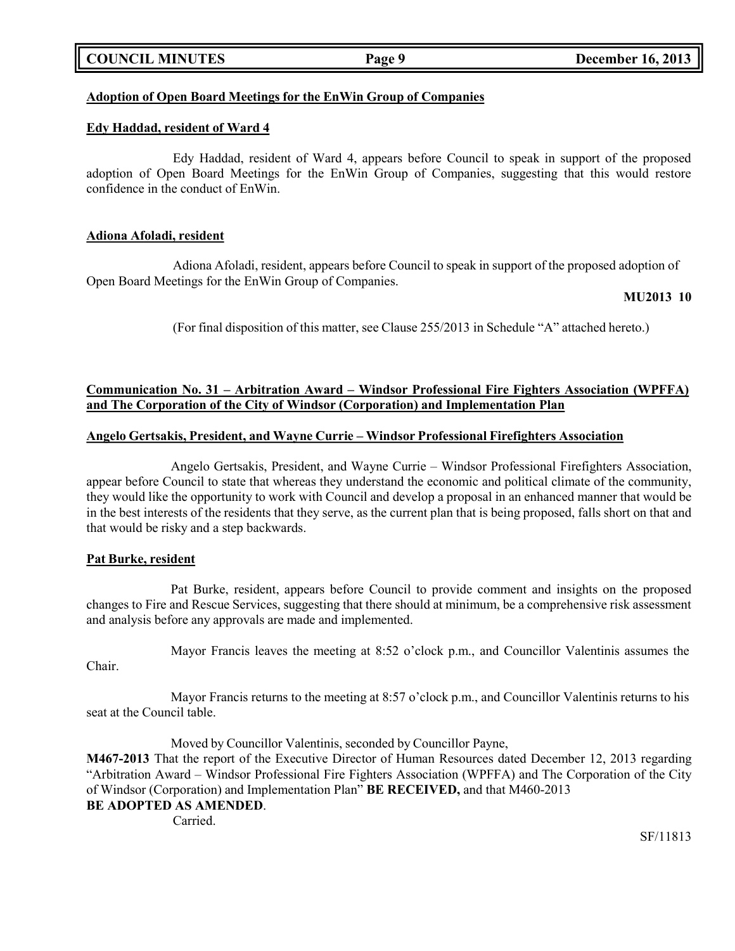|  | <b>COUNCIL MINUTES</b> |
|--|------------------------|
|--|------------------------|

## **Adoption of Open Board Meetings for the EnWin Group of Companies**

#### **Edy Haddad, resident of Ward 4**

Edy Haddad, resident of Ward 4, appears before Council to speak in support of the proposed adoption of Open Board Meetings for the EnWin Group of Companies, suggesting that this would restore confidence in the conduct of EnWin.

#### **Adiona Afoladi, resident**

Adiona Afoladi, resident, appears before Council to speak in support of the proposed adoption of Open Board Meetings for the EnWin Group of Companies.

#### **MU2013 10**

(For final disposition of this matter, see Clause 255/2013 in Schedule "A" attached hereto.)

## **Communication No. 31 – Arbitration Award – Windsor Professional Fire Fighters Association (WPFFA) and The Corporation of the City of Windsor (Corporation) and Implementation Plan**

### **Angelo Gertsakis, President, and Wayne Currie – Windsor Professional Firefighters Association**

Angelo Gertsakis, President, and Wayne Currie – Windsor Professional Firefighters Association, appear before Council to state that whereas they understand the economic and political climate of the community, they would like the opportunity to work with Council and develop a proposal in an enhanced manner that would be in the best interests of the residents that they serve, as the current plan that is being proposed, falls short on that and that would be risky and a step backwards.

#### **Pat Burke, resident**

Pat Burke, resident, appears before Council to provide comment and insights on the proposed changes to Fire and Rescue Services, suggesting that there should at minimum, be a comprehensive risk assessment and analysis before any approvals are made and implemented.

Mayor Francis leaves the meeting at 8:52 o'clock p.m., and Councillor Valentinis assumes the

Chair.

Mayor Francis returns to the meeting at 8:57 o'clock p.m., and Councillor Valentinis returns to his seat at the Council table.

Moved by Councillor Valentinis, seconded by Councillor Payne, **M467-2013** That the report of the Executive Director of Human Resources dated December 12, 2013 regarding "Arbitration Award – Windsor Professional Fire Fighters Association (WPFFA) and The Corporation of the City of Windsor (Corporation) and Implementation Plan" **BE RECEIVED,** and that M460-2013 **BE ADOPTED AS AMENDED**.

Carried.

SF/11813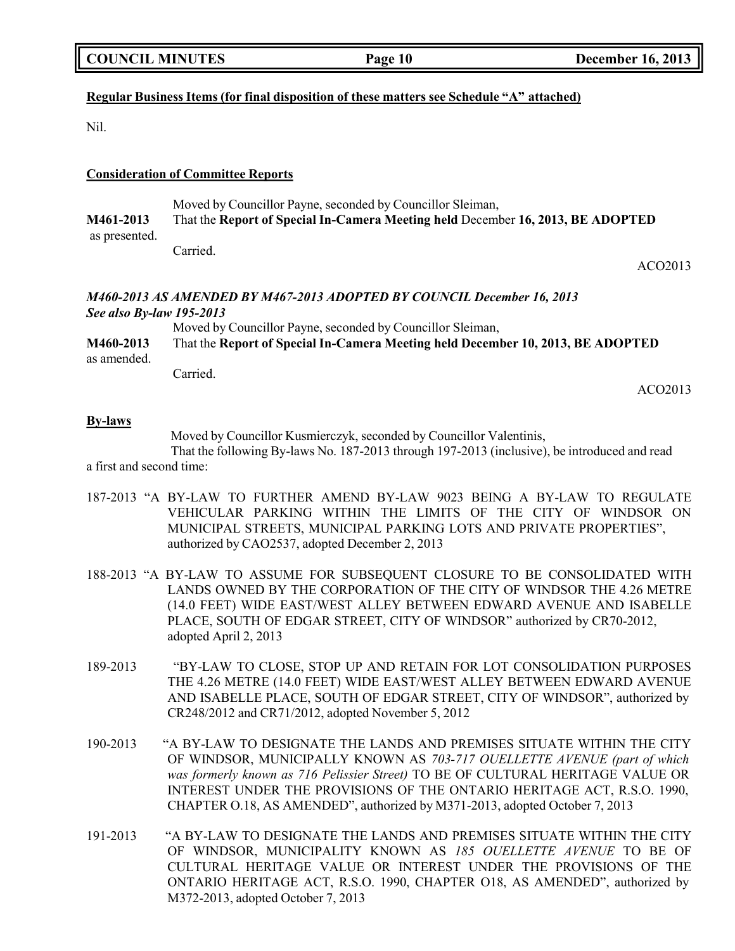## **Regular Business Items (for final disposition of these matters see Schedule "A" attached)**

Nil.

#### **Consideration of Committee Reports**

Moved by Councillor Payne, seconded by Councillor Sleiman, **M461-2013** That the **Report of Special In-Camera Meeting held** December **16, 2013, BE ADOPTED** as presented.

Carried.

ACO2013

## *M460-2013 AS AMENDED BY M467-2013 ADOPTED BY COUNCIL December 16, 2013 See also By-law 195-2013*

Moved by Councillor Payne, seconded by Councillor Sleiman, **M460-2013** That the **Report of Special In-Camera Meeting held December 10, 2013, BE ADOPTED** as amended.

Carried.

ACO2013

#### **By-laws**

Moved by Councillor Kusmierczyk, seconded by Councillor Valentinis,

That the following By-laws No. 187-2013 through 197-2013 (inclusive), be introduced and read a first and second time:

- 187-2013 "A BY-LAW TO FURTHER AMEND BY-LAW 9023 BEING A BY-LAW TO REGULATE VEHICULAR PARKING WITHIN THE LIMITS OF THE CITY OF WINDSOR ON MUNICIPAL STREETS, MUNICIPAL PARKING LOTS AND PRIVATE PROPERTIES", authorized by CAO2537, adopted December 2, 2013
- 188-2013 "A BY-LAW TO ASSUME FOR SUBSEQUENT CLOSURE TO BE CONSOLIDATED WITH LANDS OWNED BY THE CORPORATION OF THE CITY OF WINDSOR THE 4.26 METRE (14.0 FEET) WIDE EAST/WEST ALLEY BETWEEN EDWARD AVENUE AND ISABELLE PLACE, SOUTH OF EDGAR STREET, CITY OF WINDSOR" authorized by CR70-2012, adopted April 2, 2013
- 189-2013 "BY-LAW TO CLOSE, STOP UP AND RETAIN FOR LOT CONSOLIDATION PURPOSES THE 4.26 METRE (14.0 FEET) WIDE EAST/WEST ALLEY BETWEEN EDWARD AVENUE AND ISABELLE PLACE, SOUTH OF EDGAR STREET, CITY OF WINDSOR", authorized by CR248/2012 and CR71/2012, adopted November 5, 2012
- 190-2013 "A BY-LAW TO DESIGNATE THE LANDS AND PREMISES SITUATE WITHIN THE CITY OF WINDSOR, MUNICIPALLY KNOWN AS *703-717 OUELLETTE AVENUE (part of which was formerly known as 716 Pelissier Street)* TO BE OF CULTURAL HERITAGE VALUE OR INTEREST UNDER THE PROVISIONS OF THE ONTARIO HERITAGE ACT, R.S.O. 1990, CHAPTER O.18, AS AMENDED", authorized by M371-2013, adopted October 7, 2013
- 191-2013 "A BY-LAW TO DESIGNATE THE LANDS AND PREMISES SITUATE WITHIN THE CITY OF WINDSOR, MUNICIPALITY KNOWN AS *185 OUELLETTE AVENUE* TO BE OF CULTURAL HERITAGE VALUE OR INTEREST UNDER THE PROVISIONS OF THE ONTARIO HERITAGE ACT, R.S.O. 1990, CHAPTER O18, AS AMENDED", authorized by M372-2013, adopted October 7, 2013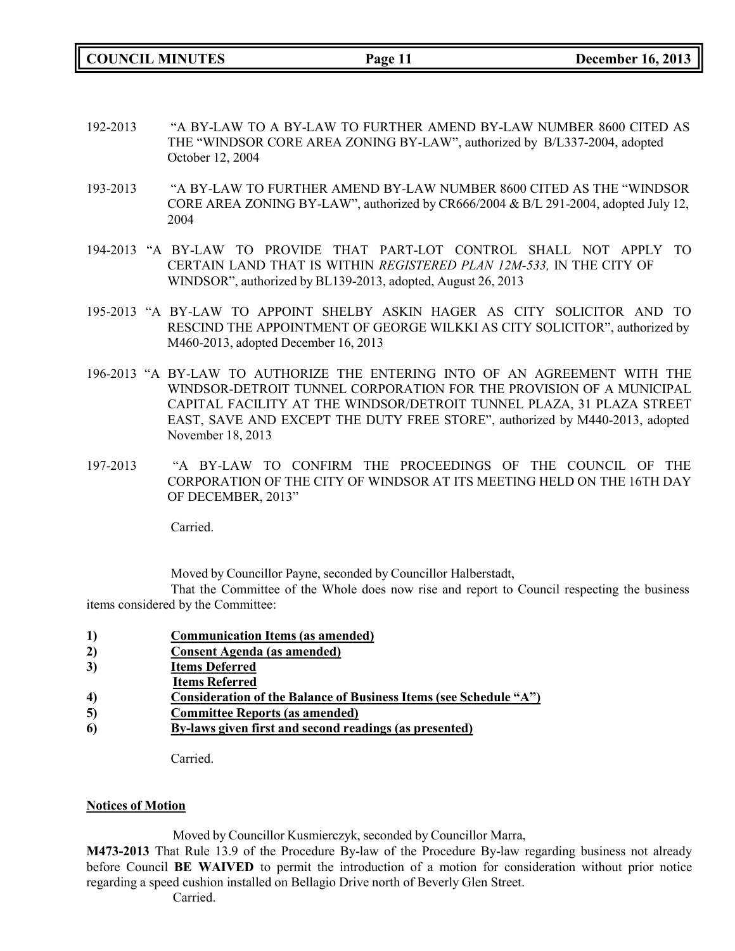**COUNCIL MINUTES Page 11 December 16, 2013**

- 192-2013 "A BY-LAW TO A BY-LAW TO FURTHER AMEND BY-LAW NUMBER 8600 CITED AS THE "WINDSOR CORE AREA ZONING BY-LAW", authorized by B/L337-2004, adopted October 12, 2004
- 193-2013 "A BY-LAW TO FURTHER AMEND BY-LAW NUMBER 8600 CITED AS THE "WINDSOR CORE AREA ZONING BY-LAW", authorized by CR666/2004 & B/L 291-2004, adopted July 12, 2004
- 194-2013 "A BY-LAW TO PROVIDE THAT PART-LOT CONTROL SHALL NOT APPLY TO CERTAIN LAND THAT IS WITHIN *REGISTERED PLAN 12M-533,* IN THE CITY OF WINDSOR", authorized by BL139-2013, adopted, August 26, 2013
- 195-2013 "A BY-LAW TO APPOINT SHELBY ASKIN HAGER AS CITY SOLICITOR AND TO RESCIND THE APPOINTMENT OF GEORGE WILKKI AS CITY SOLICITOR", authorized by M460-2013, adopted December 16, 2013
- 196-2013 "A BY-LAW TO AUTHORIZE THE ENTERING INTO OF AN AGREEMENT WITH THE WINDSOR-DETROIT TUNNEL CORPORATION FOR THE PROVISION OF A MUNICIPAL CAPITAL FACILITY AT THE WINDSOR/DETROIT TUNNEL PLAZA, 31 PLAZA STREET EAST, SAVE AND EXCEPT THE DUTY FREE STORE", authorized by M440-2013, adopted November 18, 2013
- 197-2013 "A BY-LAW TO CONFIRM THE PROCEEDINGS OF THE COUNCIL OF THE CORPORATION OF THE CITY OF WINDSOR AT ITS MEETING HELD ON THE 16TH DAY OF DECEMBER, 2013"

Carried.

Moved by Councillor Payne, seconded by Councillor Halberstadt,

That the Committee of the Whole does now rise and report to Council respecting the business items considered by the Committee:

- **1) Communication Items (as amended)**
- **2) Consent Agenda (as amended)**
- **3) Items Deferred**
- **Items Referred**
- **4) Consideration of the Balance of Business Items (see Schedule "A")**
- **5) Committee Reports (as amended)**
- **6) By-laws given first and second readings (as presented)**

Carried.

#### **Notices of Motion**

Moved by Councillor Kusmierczyk, seconded by Councillor Marra,

**M473-2013** That Rule 13.9 of the Procedure By-law of the Procedure By-law regarding business not already before Council **BE WAIVED** to permit the introduction of a motion for consideration without prior notice regarding a speed cushion installed on Bellagio Drive north of Beverly Glen Street.

Carried.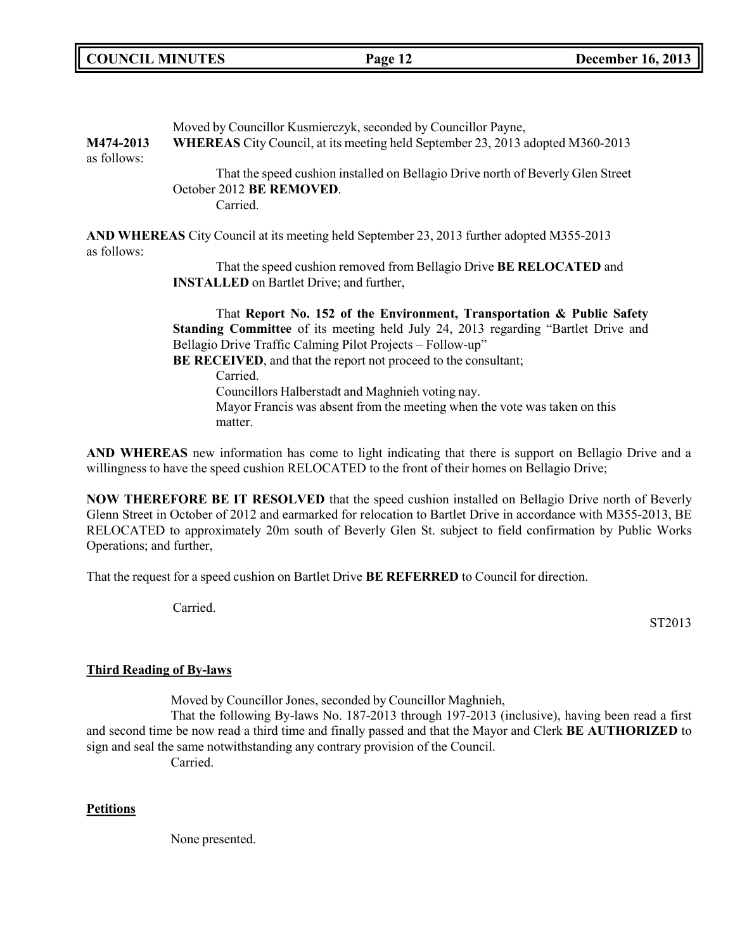| M474-2013<br>as follows: | Moved by Councillor Kusmierczyk, seconded by Councillor Payne,<br>WHEREAS City Council, at its meeting held September 23, 2013 adopted M360-2013 |  |
|--------------------------|--------------------------------------------------------------------------------------------------------------------------------------------------|--|
|                          | That the speed cushion installed on Bellagio Drive north of Beverly Glen Street<br>October 2012 BE REMOVED.<br>Carried.                          |  |
| as follows:              | AND WHEREAS City Council at its meeting held September 23, 2013 further adopted M355-2013                                                        |  |
|                          | That the speed cushion removed from Bellagio Drive BE RELOCATED and<br><b>INSTALLED</b> on Bartlet Drive; and further,                           |  |
|                          | That Report No. 152 of the Environment, Transportation & Public Safety                                                                           |  |
|                          | <b>Standing Committee</b> of its meeting held July 24, 2013 regarding "Bartlet Drive and                                                         |  |
|                          | Bellagio Drive Traffic Calming Pilot Projects – Follow-up"                                                                                       |  |
|                          | BE RECEIVED, and that the report not proceed to the consultant;                                                                                  |  |
|                          | Carried.                                                                                                                                         |  |
|                          | Councillors Halberstadt and Maghnieh voting nay.                                                                                                 |  |
|                          | Mayor Francis was absent from the meeting when the vote was taken on this                                                                        |  |

matter.

**AND WHEREAS** new information has come to light indicating that there is support on Bellagio Drive and a willingness to have the speed cushion RELOCATED to the front of their homes on Bellagio Drive;

**NOW THEREFORE BE IT RESOLVED** that the speed cushion installed on Bellagio Drive north of Beverly Glenn Street in October of 2012 and earmarked for relocation to Bartlet Drive in accordance with M355-2013, BE RELOCATED to approximately 20m south of Beverly Glen St. subject to field confirmation by Public Works Operations; and further,

That the request for a speed cushion on Bartlet Drive **BE REFERRED** to Council for direction.

Carried.

ST2013

## **Third Reading of By-laws**

Moved by Councillor Jones, seconded by Councillor Maghnieh,

That the following By-laws No. 187-2013 through 197-2013 (inclusive), having been read a first and second time be now read a third time and finally passed and that the Mayor and Clerk **BE AUTHORIZED** to sign and seal the same notwithstanding any contrary provision of the Council. Carried.

### **Petitions**

None presented.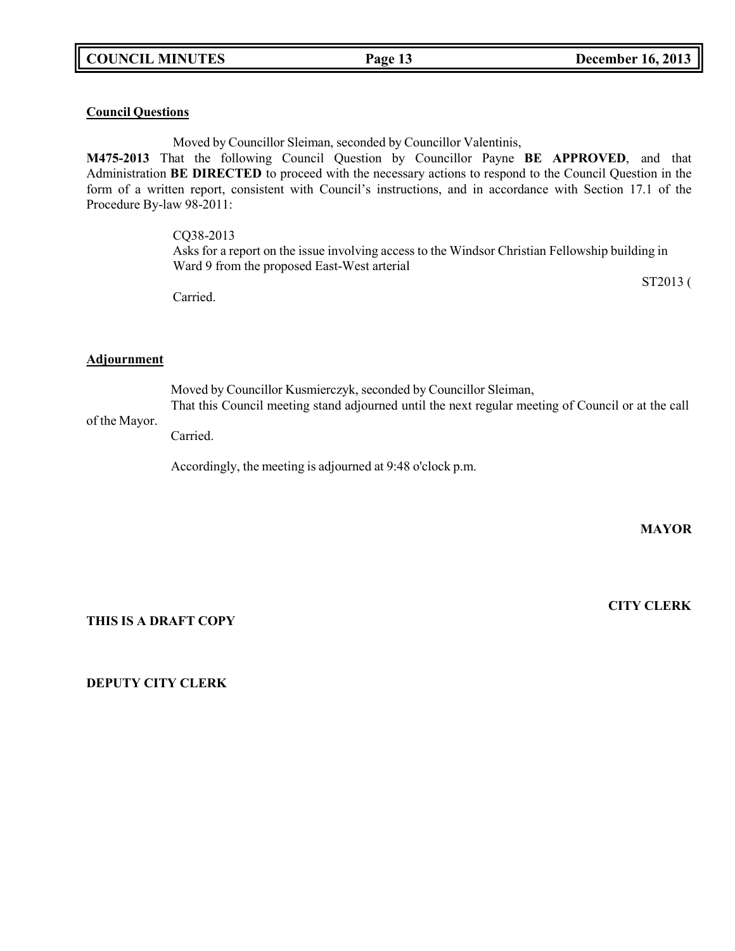## **Council Questions**

Moved by Councillor Sleiman, seconded by Councillor Valentinis,

**M475-2013** That the following Council Question by Councillor Payne **BE APPROVED**, and that Administration **BE DIRECTED** to proceed with the necessary actions to respond to the Council Question in the form of a written report, consistent with Council's instructions, and in accordance with Section 17.1 of the Procedure By-law 98-2011:

CQ38-2013

Asks for a report on the issue involving access to the Windsor Christian Fellowship building in Ward 9 from the proposed East-West arterial

ST2013 (

Carried.

#### **Adjournment**

Moved by Councillor Kusmierczyk, seconded by Councillor Sleiman, That this Council meeting stand adjourned until the next regular meeting of Council or at the call

## of the Mayor.

Carried.

Accordingly, the meeting is adjourned at 9:48 o'clock p.m.

**MAYOR**

**THIS IS A DRAFT COPY**

**CITY CLERK**

**DEPUTY CITY CLERK**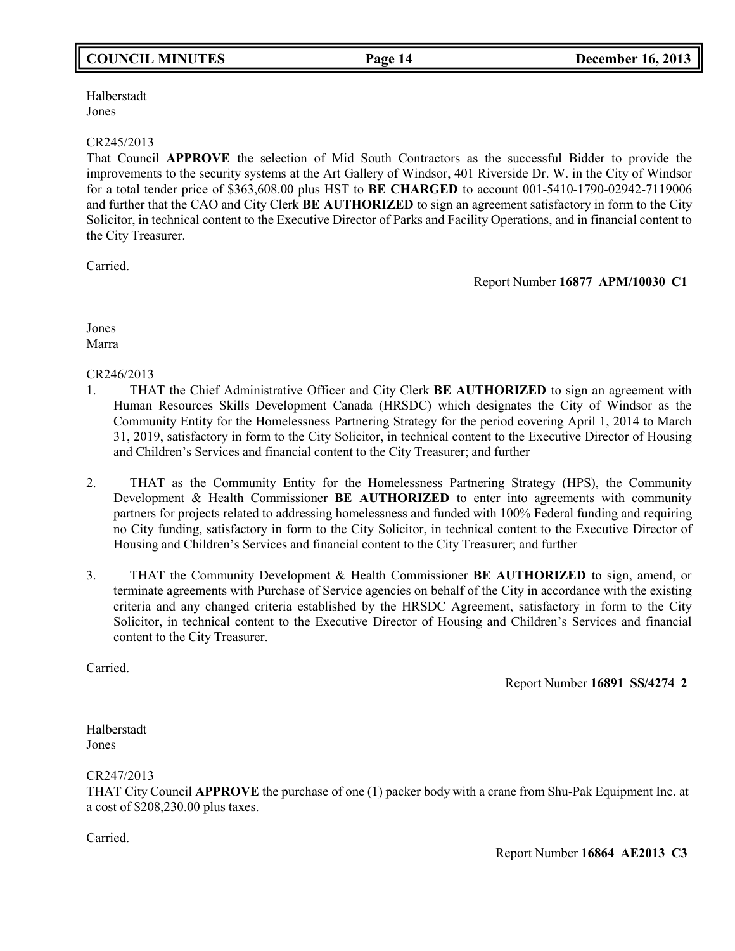# **COUNCIL MINUTES Page 14 December 16, 2013**

Halberstadt Jones

#### CR245/2013

That Council **APPROVE** the selection of Mid South Contractors as the successful Bidder to provide the improvements to the security systems at the Art Gallery of Windsor, 401 Riverside Dr. W. in the City of Windsor for a total tender price of \$363,608.00 plus HST to **BE CHARGED** to account 001-5410-1790-02942-7119006 and further that the CAO and City Clerk **BE AUTHORIZED** to sign an agreement satisfactory in form to the City Solicitor, in technical content to the Executive Director of Parks and Facility Operations, and in financial content to the City Treasurer.

Carried.

Report Number **16877 APM/10030 C1**

Jones Marra

CR246/2013

- 1. THAT the Chief Administrative Officer and City Clerk **BE AUTHORIZED** to sign an agreement with Human Resources Skills Development Canada (HRSDC) which designates the City of Windsor as the Community Entity for the Homelessness Partnering Strategy for the period covering April 1, 2014 to March 31, 2019, satisfactory in form to the City Solicitor, in technical content to the Executive Director of Housing and Children's Services and financial content to the City Treasurer; and further
- 2. THAT as the Community Entity for the Homelessness Partnering Strategy (HPS), the Community Development & Health Commissioner **BE AUTHORIZED** to enter into agreements with community partners for projects related to addressing homelessness and funded with 100% Federal funding and requiring no City funding, satisfactory in form to the City Solicitor, in technical content to the Executive Director of Housing and Children's Services and financial content to the City Treasurer; and further
- 3. THAT the Community Development & Health Commissioner **BE AUTHORIZED** to sign, amend, or terminate agreements with Purchase of Service agencies on behalf of the City in accordance with the existing criteria and any changed criteria established by the HRSDC Agreement, satisfactory in form to the City Solicitor, in technical content to the Executive Director of Housing and Children's Services and financial content to the City Treasurer.

Carried.

Report Number **16891 SS/4274 2**

Halberstadt Jones

CR247/2013

THAT City Council **APPROVE** the purchase of one (1) packer body with a crane from Shu-Pak Equipment Inc. at a cost of \$208,230.00 plus taxes.

Carried.

Report Number **16864 AE2013 C3**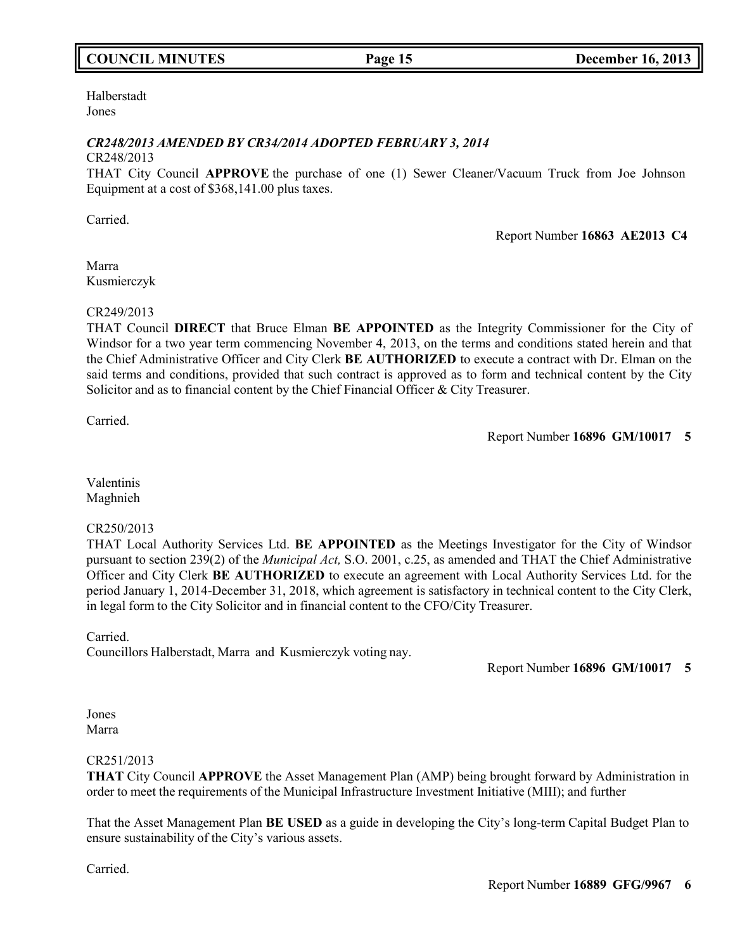# **COUNCIL MINUTES Page 15 December 16, 2013**

#### Halberstadt Jones

## *CR248/2013 AMENDED BY CR34/2014 ADOPTED FEBRUARY 3, 2014*

## CR248/2013

THAT City Council **APPROVE** the purchase of one (1) Sewer Cleaner/Vacuum Truck from Joe Johnson Equipment at a cost of \$368,141.00 plus taxes.

Carried.

Report Number **16863 AE2013 C4**

Marra Kusmierczyk

## CR249/2013

THAT Council **DIRECT** that Bruce Elman **BE APPOINTED** as the Integrity Commissioner for the City of Windsor for a two year term commencing November 4, 2013, on the terms and conditions stated herein and that the Chief Administrative Officer and City Clerk **BE AUTHORIZED** to execute a contract with Dr. Elman on the said terms and conditions, provided that such contract is approved as to form and technical content by the City Solicitor and as to financial content by the Chief Financial Officer & City Treasurer.

Carried.

Report Number **16896 GM/10017 5**

Valentinis Maghnieh

## CR250/2013

THAT Local Authority Services Ltd. **BE APPOINTED** as the Meetings Investigator for the City of Windsor pursuant to section 239(2) of the *Municipal Act,* S.O. 2001, c.25, as amended and THAT the Chief Administrative Officer and City Clerk **BE AUTHORIZED** to execute an agreement with Local Authority Services Ltd. for the period January 1, 2014-December 31, 2018, which agreement is satisfactory in technical content to the City Clerk, in legal form to the City Solicitor and in financial content to the CFO/City Treasurer.

Carried.

Councillors Halberstadt, Marra and Kusmierczyk voting nay.

Report Number **16896 GM/10017 5**

Jones Marra

### CR251/2013

**THAT** City Council **APPROVE** the Asset Management Plan (AMP) being brought forward by Administration in order to meet the requirements of the Municipal Infrastructure Investment Initiative (MIII); and further

That the Asset Management Plan **BE USED** as a guide in developing the City's long-term Capital Budget Plan to ensure sustainability of the City's various assets.

Carried.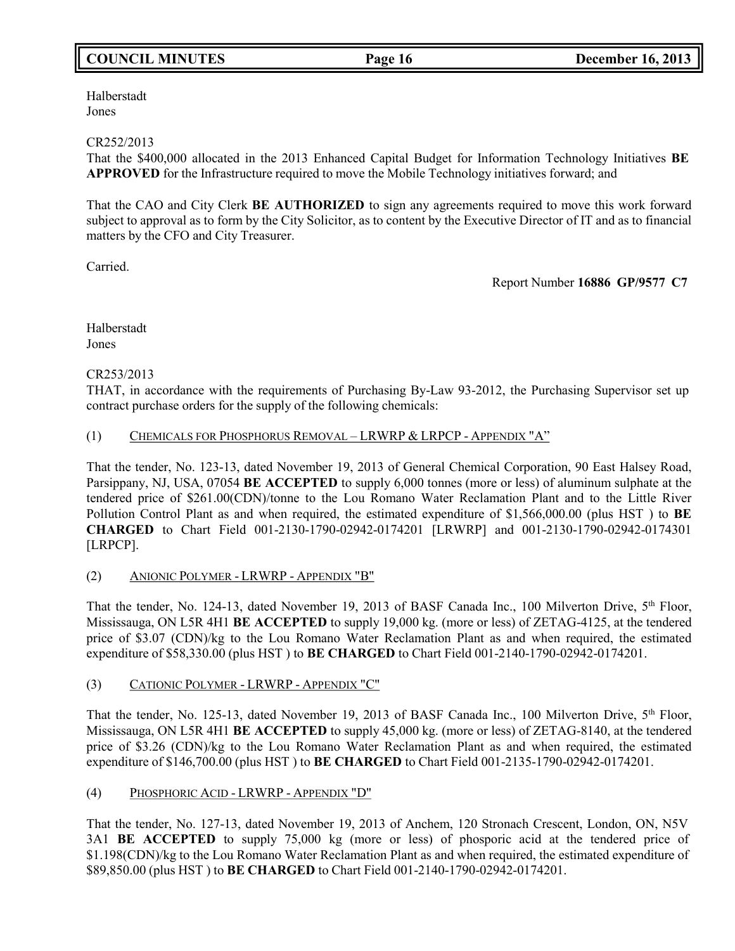# **COUNCIL MINUTES Page 16 December 16, 2013**

Halberstadt Jones

## CR252/2013

That the \$400,000 allocated in the 2013 Enhanced Capital Budget for Information Technology Initiatives **BE APPROVED** for the Infrastructure required to move the Mobile Technology initiatives forward; and

That the CAO and City Clerk **BE AUTHORIZED** to sign any agreements required to move this work forward subject to approval as to form by the City Solicitor, as to content by the Executive Director of IT and as to financial matters by the CFO and City Treasurer.

Carried.

Report Number **16886 GP/9577 C7**

Halberstadt Jones

## CR253/2013

THAT, in accordance with the requirements of Purchasing By-Law 93-2012, the Purchasing Supervisor set up contract purchase orders for the supply of the following chemicals:

(1) CHEMICALS FOR PHOSPHORUS REMOVAL – LRWRP & LRPCP - APPENDIX "A"

That the tender, No. 123-13, dated November 19, 2013 of General Chemical Corporation, 90 East Halsey Road, Parsippany, NJ, USA, 07054 **BE ACCEPTED** to supply 6,000 tonnes (more or less) of aluminum sulphate at the tendered price of \$261.00(CDN)/tonne to the Lou Romano Water Reclamation Plant and to the Little River Pollution Control Plant as and when required, the estimated expenditure of \$1,566,000.00 (plus HST ) to **BE CHARGED** to Chart Field 001-2130-1790-02942-0174201 [LRWRP] and 001-2130-1790-02942-0174301 [LRPCP].

(2) ANIONIC POLYMER - LRWRP - APPENDIX "B"

That the tender, No. 124-13, dated November 19, 2013 of BASF Canada Inc., 100 Milverton Drive, 5<sup>th</sup> Floor, Mississauga, ON L5R 4H1 **BE ACCEPTED** to supply 19,000 kg. (more or less) of ZETAG-4125, at the tendered price of \$3.07 (CDN)/kg to the Lou Romano Water Reclamation Plant as and when required, the estimated expenditure of \$58,330.00 (plus HST ) to **BE CHARGED** to Chart Field 001-2140-1790-02942-0174201.

## (3) CATIONIC POLYMER - LRWRP - APPENDIX "C"

That the tender, No. 125-13, dated November 19, 2013 of BASF Canada Inc., 100 Milverton Drive, 5<sup>th</sup> Floor, Mississauga, ON L5R 4H1 **BE ACCEPTED** to supply 45,000 kg. (more or less) of ZETAG-8140, at the tendered price of \$3.26 (CDN)/kg to the Lou Romano Water Reclamation Plant as and when required, the estimated expenditure of \$146,700.00 (plus HST ) to **BE CHARGED** to Chart Field 001-2135-1790-02942-0174201.

## (4) PHOSPHORIC ACID - LRWRP - APPENDIX "D"

That the tender, No. 127-13, dated November 19, 2013 of Anchem, 120 Stronach Crescent, London, ON, N5V 3A1 **BE ACCEPTED** to supply 75,000 kg (more or less) of phosporic acid at the tendered price of \$1.198(CDN)/kg to the Lou Romano Water Reclamation Plant as and when required, the estimated expenditure of \$89,850.00 (plus HST ) to **BE CHARGED** to Chart Field 001-2140-1790-02942-0174201.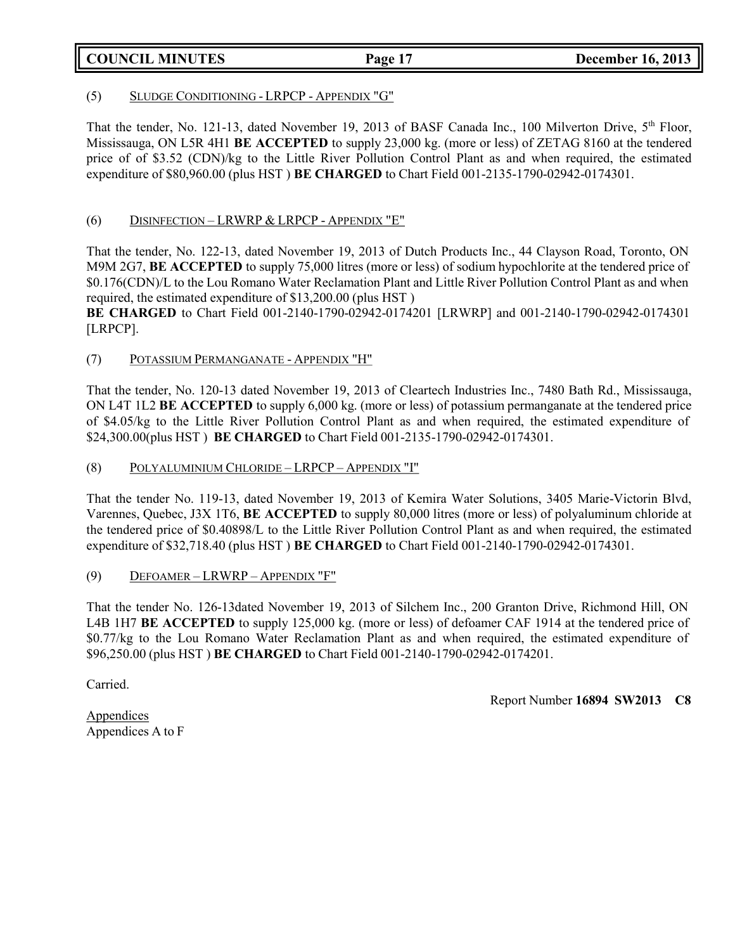## **COUNCIL MINUTES Page 17 December 16, 2013**

#### (5) SLUDGE CONDITIONING - LRPCP - APPENDIX "G"

That the tender, No. 121-13, dated November 19, 2013 of BASF Canada Inc., 100 Milverton Drive, 5<sup>th</sup> Floor, Mississauga, ON L5R 4H1 **BE ACCEPTED** to supply 23,000 kg. (more or less) of ZETAG 8160 at the tendered price of of \$3.52 (CDN)/kg to the Little River Pollution Control Plant as and when required, the estimated expenditure of \$80,960.00 (plus HST ) **BE CHARGED** to Chart Field 001-2135-1790-02942-0174301.

## (6) DISINFECTION – LRWRP & LRPCP - APPENDIX "E"

That the tender, No. 122-13, dated November 19, 2013 of Dutch Products Inc., 44 Clayson Road, Toronto, ON M9M 2G7, **BE ACCEPTED** to supply 75,000 litres (more or less) of sodium hypochlorite at the tendered price of \$0.176(CDN)/L to the Lou Romano Water Reclamation Plant and Little River Pollution Control Plant as and when required, the estimated expenditure of \$13,200.00 (plus HST )

**BE CHARGED** to Chart Field 001-2140-1790-02942-0174201 [LRWRP] and 001-2140-1790-02942-0174301 [LRPCP].

### (7) POTASSIUM PERMANGANATE - APPENDIX "H"

That the tender, No. 120-13 dated November 19, 2013 of Cleartech Industries Inc., 7480 Bath Rd., Mississauga, ON L4T 1L2 **BE ACCEPTED** to supply 6,000 kg. (more or less) of potassium permanganate at the tendered price of \$4.05/kg to the Little River Pollution Control Plant as and when required, the estimated expenditure of \$24,300.00(plus HST ) **BE CHARGED** to Chart Field 001-2135-1790-02942-0174301.

## (8) POLYALUMINIUM CHLORIDE – LRPCP – APPENDIX "I"

That the tender No. 119-13, dated November 19, 2013 of Kemira Water Solutions, 3405 Marie-Victorin Blvd, Varennes, Quebec, J3X 1T6, **BE ACCEPTED** to supply 80,000 litres (more or less) of polyaluminum chloride at the tendered price of \$0.40898/L to the Little River Pollution Control Plant as and when required, the estimated expenditure of \$32,718.40 (plus HST ) **BE CHARGED** to Chart Field 001-2140-1790-02942-0174301.

### (9) DEFOAMER – LRWRP – APPENDIX "F"

That the tender No. 126-13dated November 19, 2013 of Silchem Inc., 200 Granton Drive, Richmond Hill, ON L4B 1H7 **BE ACCEPTED** to supply 125,000 kg. (more or less) of defoamer CAF 1914 at the tendered price of \$0.77/kg to the Lou Romano Water Reclamation Plant as and when required, the estimated expenditure of \$96,250.00 (plus HST ) **BE CHARGED** to Chart Field 001-2140-1790-02942-0174201.

Carried.

Report Number **16894 SW2013 C8**

**Appendices** Appendices A to F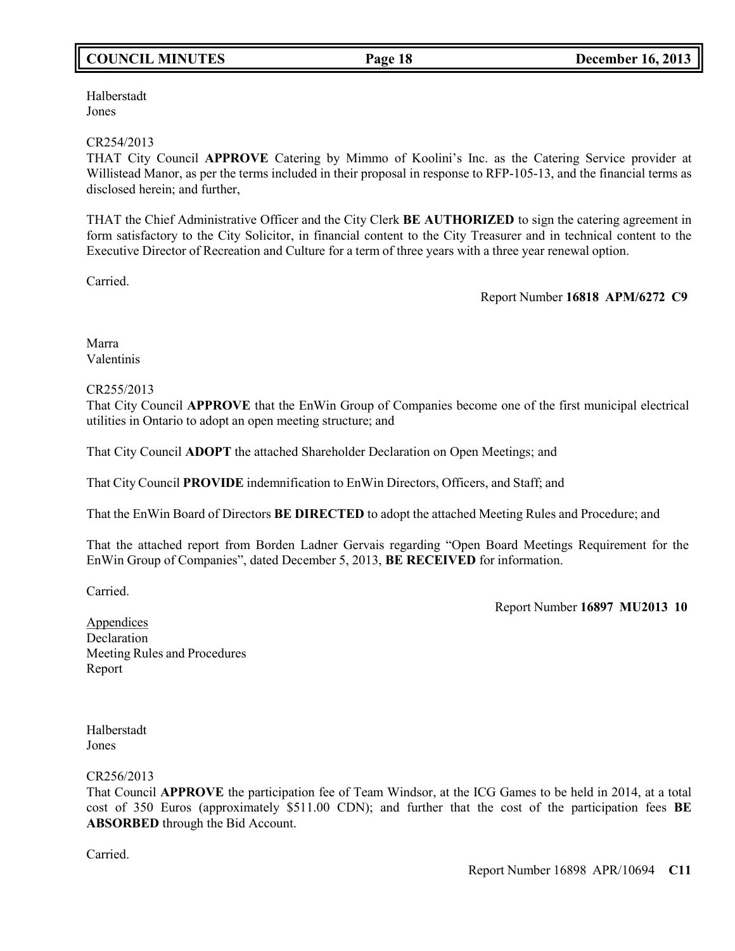# **COUNCIL MINUTES Page 18 December 16, 2013**

Halberstadt Jones

#### CR254/2013

THAT City Council **APPROVE** Catering by Mimmo of Koolini's Inc. as the Catering Service provider at Willistead Manor, as per the terms included in their proposal in response to RFP-105-13, and the financial terms as disclosed herein; and further,

THAT the Chief Administrative Officer and the City Clerk **BE AUTHORIZED** to sign the catering agreement in form satisfactory to the City Solicitor, in financial content to the City Treasurer and in technical content to the Executive Director of Recreation and Culture for a term of three years with a three year renewal option.

Carried.

Report Number **16818 APM/6272 C9**

Marra Valentinis

#### CR255/2013

That City Council **APPROVE** that the EnWin Group of Companies become one of the first municipal electrical utilities in Ontario to adopt an open meeting structure; and

That City Council **ADOPT** the attached Shareholder Declaration on Open Meetings; and

That City Council **PROVIDE** indemnification to EnWin Directors, Officers, and Staff; and

That the EnWin Board of Directors **BE DIRECTED** to adopt the attached Meeting Rules and Procedure; and

That the attached report from Borden Ladner Gervais regarding "Open Board Meetings Requirement for the EnWin Group of Companies", dated December 5, 2013, **BE RECEIVED** for information.

Carried.

Report Number **16897 MU2013 10**

Appendices **Declaration** Meeting Rules and Procedures Report

Halberstadt Jones

CR256/2013

That Council **APPROVE** the participation fee of Team Windsor, at the ICG Games to be held in 2014, at a total cost of 350 Euros (approximately \$511.00 CDN); and further that the cost of the participation fees **BE ABSORBED** through the Bid Account.

Carried.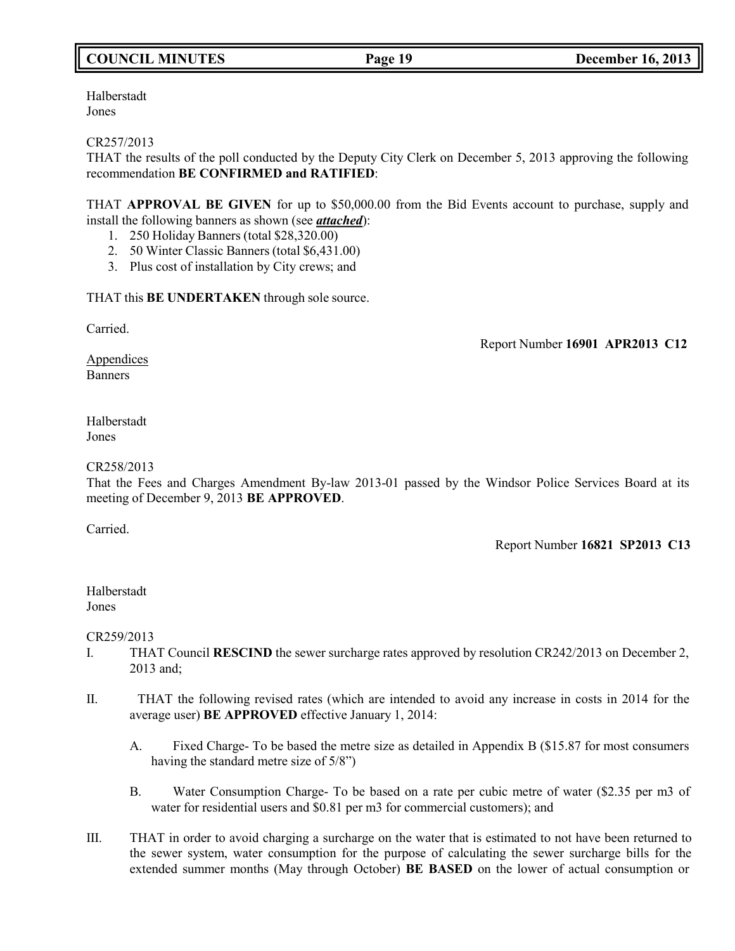# **COUNCIL MINUTES Page 19 December 16, 2013**

Halberstadt Jones

CR257/2013

THAT the results of the poll conducted by the Deputy City Clerk on December 5, 2013 approving the following recommendation **BE CONFIRMED and RATIFIED**:

THAT **APPROVAL BE GIVEN** for up to \$50,000.00 from the Bid Events account to purchase, supply and install the following banners as shown (see *attached*):

- 1. 250 Holiday Banners (total \$28,320.00)
- 2. 50 Winter Classic Banners (total \$6,431.00)
- 3. Plus cost of installation by City crews; and

THAT this **BE UNDERTAKEN** through sole source.

Carried.

Report Number **16901 APR2013 C12**

**Appendices Banners** 

Halberstadt Jones

#### CR258/2013

That the Fees and Charges Amendment By-law 2013-01 passed by the Windsor Police Services Board at its meeting of December 9, 2013 **BE APPROVED**.

Carried.

Report Number **16821 SP2013 C13**

Halberstadt Jones

CR259/2013

- I. THAT Council **RESCIND** the sewer surcharge rates approved by resolution CR242/2013 on December 2, 2013 and;
- II. THAT the following revised rates (which are intended to avoid any increase in costs in 2014 for the average user) **BE APPROVED** effective January 1, 2014:
	- A. Fixed Charge- To be based the metre size as detailed in Appendix B (\$15.87 for most consumers having the standard metre size of 5/8")
	- B. Water Consumption Charge- To be based on a rate per cubic metre of water (\$2.35 per m3 of water for residential users and \$0.81 per m3 for commercial customers); and
- III. THAT in order to avoid charging a surcharge on the water that is estimated to not have been returned to the sewer system, water consumption for the purpose of calculating the sewer surcharge bills for the extended summer months (May through October) **BE BASED** on the lower of actual consumption or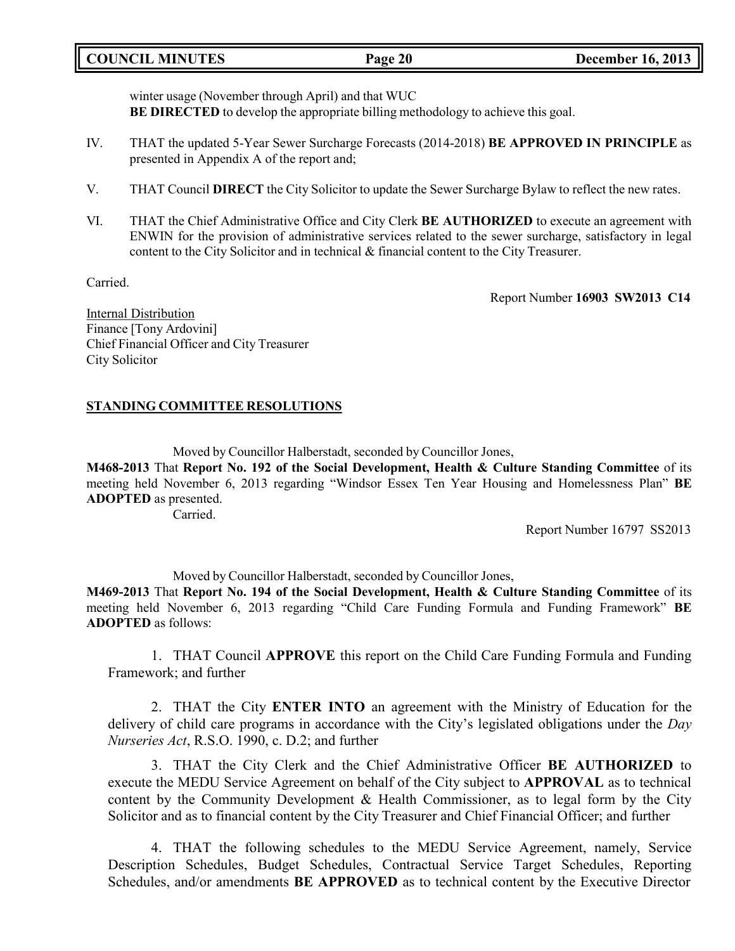## **COUNCIL MINUTES Page 20 December 16, 2013**

winter usage (November through April) and that WUC **BE DIRECTED** to develop the appropriate billing methodology to achieve this goal.

- IV. THAT the updated 5-Year Sewer Surcharge Forecasts (2014-2018) **BE APPROVED IN PRINCIPLE** as presented in Appendix A of the report and;
- V. THAT Council **DIRECT** the City Solicitor to update the Sewer Surcharge Bylaw to reflect the new rates.
- VI. THAT the Chief Administrative Office and City Clerk **BE AUTHORIZED** to execute an agreement with ENWIN for the provision of administrative services related to the sewer surcharge, satisfactory in legal content to the City Solicitor and in technical & financial content to the City Treasurer.

Carried.

Report Number **16903 SW2013 C14**

Internal Distribution Finance [Tony Ardovini] Chief Financial Officer and City Treasurer City Solicitor

## **STANDING COMMITTEE RESOLUTIONS**

Moved by Councillor Halberstadt, seconded by Councillor Jones,

**M468-2013** That **Report No. 192 of the Social Development, Health & Culture Standing Committee** of its meeting held November 6, 2013 regarding "Windsor Essex Ten Year Housing and Homelessness Plan" **BE ADOPTED** as presented.

Carried.

Report Number 16797 SS2013

Moved by Councillor Halberstadt, seconded by Councillor Jones, **M469-2013** That **Report No. 194 of the Social Development, Health & Culture Standing Committee** of its meeting held November 6, 2013 regarding "Child Care Funding Formula and Funding Framework" **BE ADOPTED** as follows:

1. THAT Council **APPROVE** this report on the Child Care Funding Formula and Funding Framework; and further

2. THAT the City **ENTER INTO** an agreement with the Ministry of Education for the delivery of child care programs in accordance with the City's legislated obligations under the *Day Nurseries Act*, R.S.O. 1990, c. D.2; and further

3. THAT the City Clerk and the Chief Administrative Officer **BE AUTHORIZED** to execute the MEDU Service Agreement on behalf of the City subject to **APPROVAL** as to technical content by the Community Development & Health Commissioner, as to legal form by the City Solicitor and as to financial content by the City Treasurer and Chief Financial Officer; and further

4. THAT the following schedules to the MEDU Service Agreement, namely, Service Description Schedules, Budget Schedules, Contractual Service Target Schedules, Reporting Schedules, and/or amendments **BE APPROVED** as to technical content by the Executive Director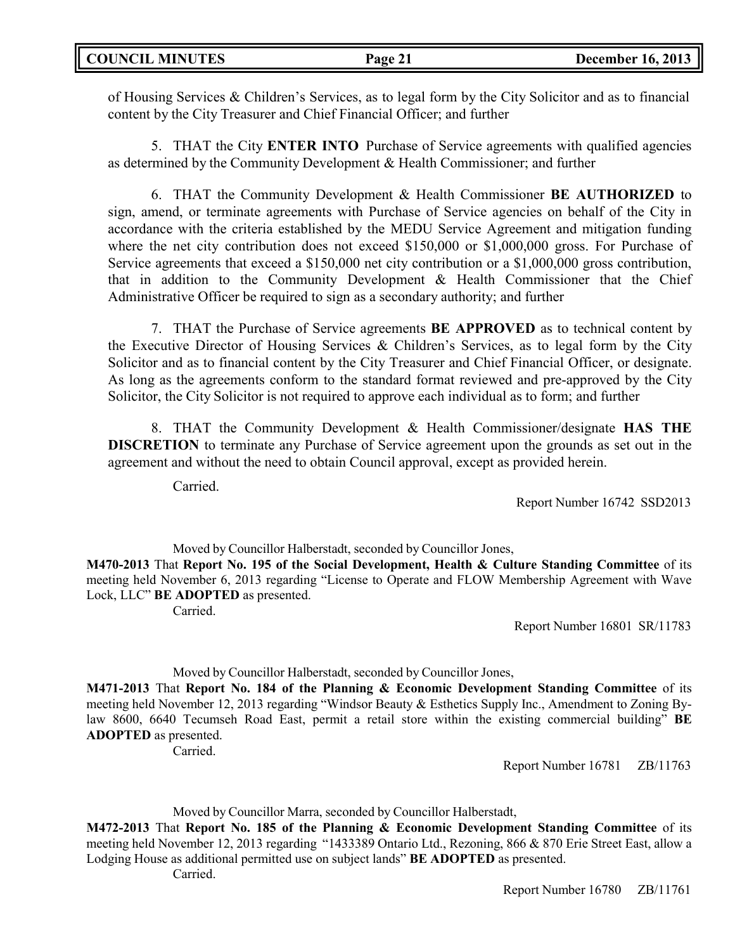of Housing Services & Children's Services, as to legal form by the City Solicitor and as to financial content by the City Treasurer and Chief Financial Officer; and further

5. THAT the City **ENTER INTO** Purchase of Service agreements with qualified agencies as determined by the Community Development & Health Commissioner; and further

6. THAT the Community Development & Health Commissioner **BE AUTHORIZED** to sign, amend, or terminate agreements with Purchase of Service agencies on behalf of the City in accordance with the criteria established by the MEDU Service Agreement and mitigation funding where the net city contribution does not exceed \$150,000 or \$1,000,000 gross. For Purchase of Service agreements that exceed a \$150,000 net city contribution or a \$1,000,000 gross contribution, that in addition to the Community Development & Health Commissioner that the Chief Administrative Officer be required to sign as a secondary authority; and further

7. THAT the Purchase of Service agreements **BE APPROVED** as to technical content by the Executive Director of Housing Services & Children's Services, as to legal form by the City Solicitor and as to financial content by the City Treasurer and Chief Financial Officer, or designate. As long as the agreements conform to the standard format reviewed and pre-approved by the City Solicitor, the City Solicitor is not required to approve each individual as to form; and further

8. THAT the Community Development & Health Commissioner/designate **HAS THE DISCRETION** to terminate any Purchase of Service agreement upon the grounds as set out in the agreement and without the need to obtain Council approval, except as provided herein.

Carried.

Report Number 16742 SSD2013

Moved by Councillor Halberstadt, seconded by Councillor Jones, **M470-2013** That **Report No. 195 of the Social Development, Health & Culture Standing Committee** of its meeting held November 6, 2013 regarding "License to Operate and FLOW Membership Agreement with Wave Lock, LLC" **BE ADOPTED** as presented. Carried.

Report Number 16801 SR/11783

## Moved by Councillor Halberstadt, seconded by Councillor Jones,

**M471-2013** That **Report No. 184 of the Planning & Economic Development Standing Committee** of its meeting held November 12, 2013 regarding "Windsor Beauty & Esthetics Supply Inc., Amendment to Zoning Bylaw 8600, 6640 Tecumseh Road East, permit a retail store within the existing commercial building" **BE ADOPTED** as presented.

Carried.

Report Number 16781 ZB/11763

Moved by Councillor Marra, seconded by Councillor Halberstadt,

**M472-2013** That **Report No. 185 of the Planning & Economic Development Standing Committee** of its meeting held November 12, 2013 regarding "1433389 Ontario Ltd., Rezoning, 866 & 870 Erie Street East, allow a Lodging House as additional permitted use on subject lands" **BE ADOPTED** as presented.

Carried.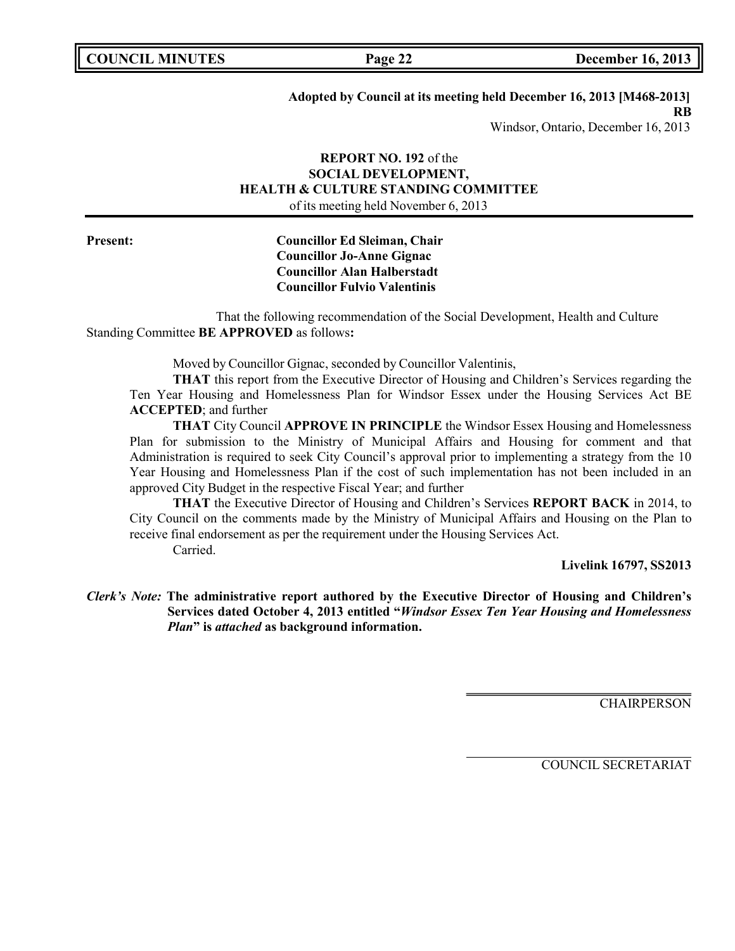**COUNCIL MINUTES Page 22 December 16, 2013**

### **Adopted by Council at its meeting held December 16, 2013 [M468-2013]**

**RB**

Windsor, Ontario, December 16, 2013

## **REPORT NO. 192** of the **SOCIAL DEVELOPMENT, HEALTH & CULTURE STANDING COMMITTEE** of its meeting held November 6, 2013

## **Present: Councillor Ed Sleiman, Chair Councillor Jo-Anne Gignac Councillor Alan Halberstadt Councillor Fulvio Valentinis**

That the following recommendation of the Social Development, Health and Culture Standing Committee **BE APPROVED** as follows**:**

Moved by Councillor Gignac, seconded by Councillor Valentinis,

**THAT** this report from the Executive Director of Housing and Children's Services regarding the Ten Year Housing and Homelessness Plan for Windsor Essex under the Housing Services Act BE **ACCEPTED**; and further

**THAT** City Council **APPROVE IN PRINCIPLE** the Windsor Essex Housing and Homelessness Plan for submission to the Ministry of Municipal Affairs and Housing for comment and that Administration is required to seek City Council's approval prior to implementing a strategy from the 10 Year Housing and Homelessness Plan if the cost of such implementation has not been included in an approved City Budget in the respective Fiscal Year; and further

**THAT** the Executive Director of Housing and Children's Services **REPORT BACK** in 2014, to City Council on the comments made by the Ministry of Municipal Affairs and Housing on the Plan to receive final endorsement as per the requirement under the Housing Services Act. Carried.

**Livelink 16797, SS2013**

*Clerk's Note:* **The administrative report authored by the Executive Director of Housing and Children's Services dated October 4, 2013 entitled "***Windsor Essex Ten Year Housing and Homelessness Plan***" is** *attached* **as background information.**

**CHAIRPERSON** 

COUNCIL SECRETARIAT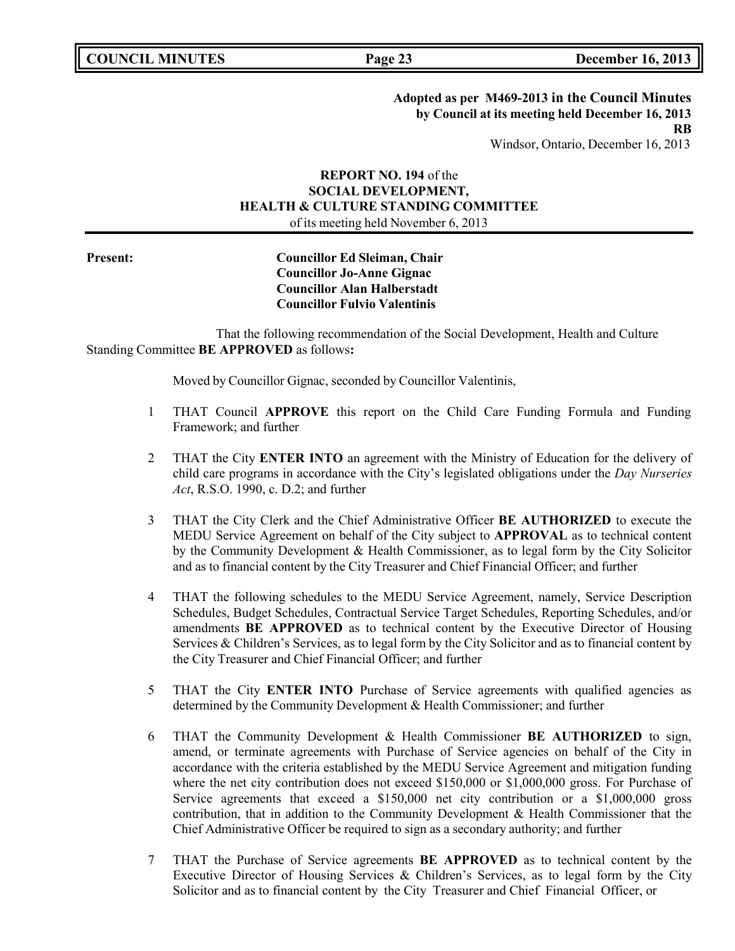**Adopted as per M469-2013 in the Council Minutes by Council at its meeting held December 16, 2013 RB**

Windsor, Ontario, December 16, 2013

## **REPORT NO. 194** of the **SOCIAL DEVELOPMENT, HEALTH & CULTURE STANDING COMMITTEE** of its meeting held November 6, 2013

## **Present: Councillor Ed Sleiman, Chair Councillor Jo-Anne Gignac Councillor Alan Halberstadt Councillor Fulvio Valentinis**

That the following recommendation of the Social Development, Health and Culture Standing Committee **BE APPROVED** as follows**:**

Moved by Councillor Gignac, seconded by Councillor Valentinis,

- 1 THAT Council **APPROVE** this report on the Child Care Funding Formula and Funding Framework; and further
- 2 THAT the City **ENTER INTO** an agreement with the Ministry of Education for the delivery of child care programs in accordance with the City's legislated obligations under the *Day Nurseries Act*, R.S.O. 1990, c. D.2; and further
- 3 THAT the City Clerk and the Chief Administrative Officer **BE AUTHORIZED** to execute the MEDU Service Agreement on behalf of the City subject to **APPROVAL** as to technical content by the Community Development & Health Commissioner, as to legal form by the City Solicitor and as to financial content by the City Treasurer and Chief Financial Officer; and further
- 4 THAT the following schedules to the MEDU Service Agreement, namely, Service Description Schedules, Budget Schedules, Contractual Service Target Schedules, Reporting Schedules, and/or amendments **BE APPROVED** as to technical content by the Executive Director of Housing Services & Children's Services, as to legal form by the City Solicitor and as to financial content by the City Treasurer and Chief Financial Officer; and further
- 5 THAT the City **ENTER INTO** Purchase of Service agreements with qualified agencies as determined by the Community Development & Health Commissioner; and further
- 6 THAT the Community Development & Health Commissioner **BE AUTHORIZED** to sign, amend, or terminate agreements with Purchase of Service agencies on behalf of the City in accordance with the criteria established by the MEDU Service Agreement and mitigation funding where the net city contribution does not exceed \$150,000 or \$1,000,000 gross. For Purchase of Service agreements that exceed a \$150,000 net city contribution or a \$1,000,000 gross contribution, that in addition to the Community Development & Health Commissioner that the Chief Administrative Officer be required to sign as a secondary authority; and further
- 7 THAT the Purchase of Service agreements **BE APPROVED** as to technical content by the Executive Director of Housing Services & Children's Services, as to legal form by the City Solicitor and as to financial content by the City Treasurer and Chief Financial Officer, or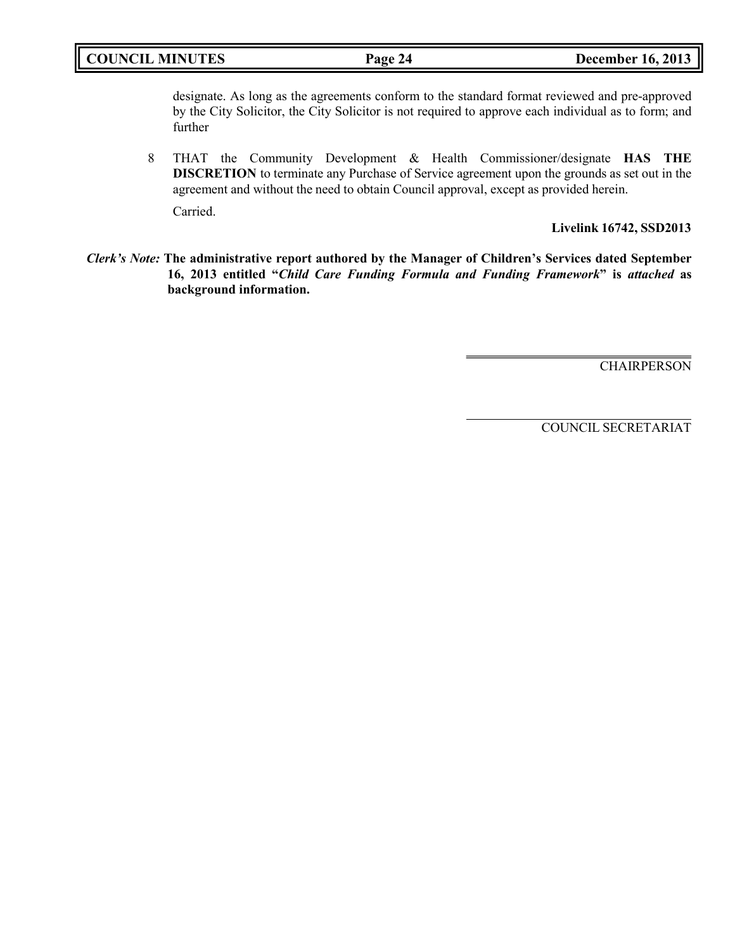## **COUNCIL MINUTES Page 24 December 16, 2013**

designate. As long as the agreements conform to the standard format reviewed and pre-approved by the City Solicitor, the City Solicitor is not required to approve each individual as to form; and further

8 THAT the Community Development & Health Commissioner/designate **HAS THE DISCRETION** to terminate any Purchase of Service agreement upon the grounds as set out in the agreement and without the need to obtain Council approval, except as provided herein.

Carried.

**Livelink 16742, SSD2013**

*Clerk's Note:* **The administrative report authored by the Manager of Children's Services dated September 16, 2013 entitled "***Child Care Funding Formula and Funding Framework***" is** *attached* **as background information.**

**CHAIRPERSON** 

COUNCIL SECRETARIAT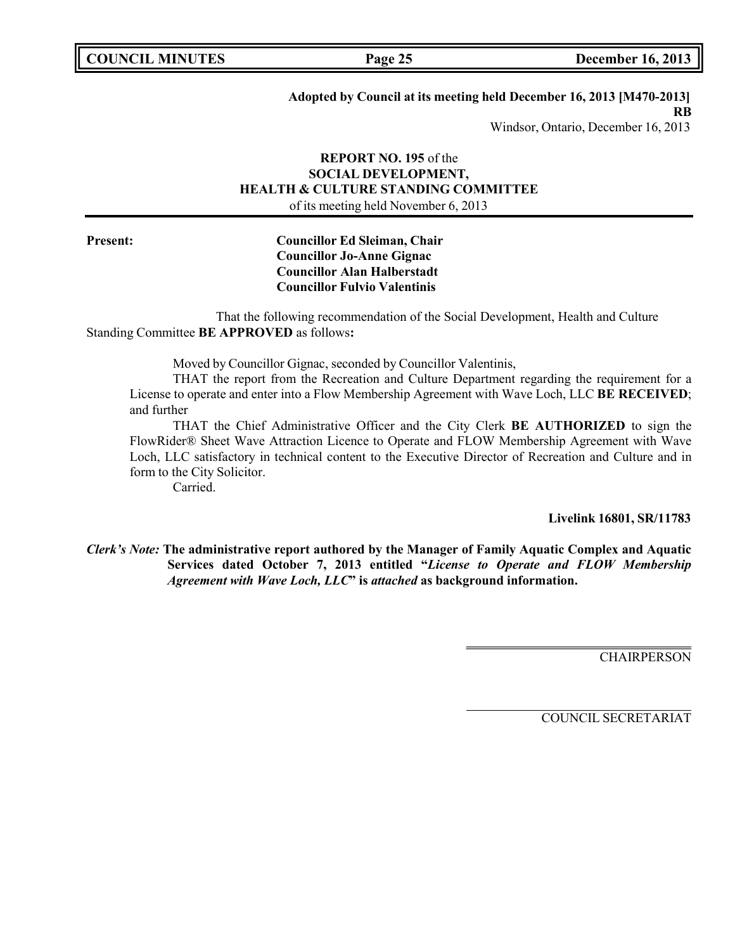**COUNCIL MINUTES Page 25 December 16, 2013**

## **Adopted by Council at its meeting held December 16, 2013 [M470-2013]**

**RB**

Windsor, Ontario, December 16, 2013

## **REPORT NO. 195** of the **SOCIAL DEVELOPMENT, HEALTH & CULTURE STANDING COMMITTEE** of its meeting held November 6, 2013

## **Present: Councillor Ed Sleiman, Chair Councillor Jo-Anne Gignac Councillor Alan Halberstadt Councillor Fulvio Valentinis**

That the following recommendation of the Social Development, Health and Culture Standing Committee **BE APPROVED** as follows**:**

Moved by Councillor Gignac, seconded by Councillor Valentinis,

THAT the report from the Recreation and Culture Department regarding the requirement for a License to operate and enter into a Flow Membership Agreement with Wave Loch, LLC **BE RECEIVED**; and further

THAT the Chief Administrative Officer and the City Clerk **BE AUTHORIZED** to sign the FlowRider® Sheet Wave Attraction Licence to Operate and FLOW Membership Agreement with Wave Loch, LLC satisfactory in technical content to the Executive Director of Recreation and Culture and in form to the City Solicitor.

Carried.

**Livelink 16801, SR/11783**

*Clerk's Note:* **The administrative report authored by the Manager of Family Aquatic Complex and Aquatic Services dated October 7, 2013 entitled "***License to Operate and FLOW Membership Agreement with Wave Loch, LLC***" is** *attached* **as background information.**

**CHAIRPERSON** 

COUNCIL SECRETARIAT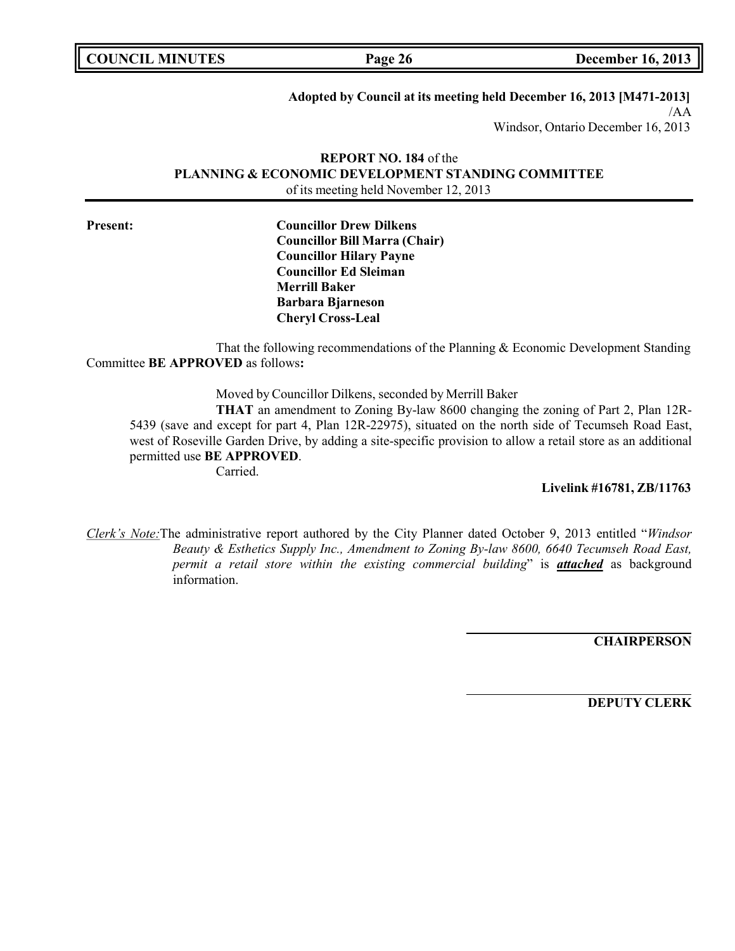| <b>COUNCIL MINUTES</b> |  |  |
|------------------------|--|--|
|------------------------|--|--|

**COUNCIL MINUTES Page 26 December 16, 2013**

#### **Adopted by Council at its meeting held December 16, 2013 [M471-2013]**

/AA

Windsor, Ontario December 16, 2013

#### **REPORT NO. 184** of the **PLANNING & ECONOMIC DEVELOPMENT STANDING COMMITTEE** of its meeting held November 12, 2013

**Present: Councillor Drew Dilkens Councillor Bill Marra (Chair) Councillor Hilary Payne Councillor Ed Sleiman Merrill Baker Barbara Bjarneson Cheryl Cross-Leal**

That the following recommendations of the Planning & Economic Development Standing Committee **BE APPROVED** as follows**:**

Moved by Councillor Dilkens, seconded by Merrill Baker

**THAT** an amendment to Zoning By-law 8600 changing the zoning of Part 2, Plan 12R-5439 (save and except for part 4, Plan 12R-22975), situated on the north side of Tecumseh Road East, west of Roseville Garden Drive, by adding a site-specific provision to allow a retail store as an additional permitted use **BE APPROVED**.

Carried.

**Livelink #16781, ZB/11763**

*Clerk's Note:*The administrative report authored by the City Planner dated October 9, 2013 entitled "*Windsor Beauty & Esthetics Supply Inc., Amendment to Zoning By-law 8600, 6640 Tecumseh Road East, permit a retail store within the existing commercial building*" is *attached* as background information.

**CHAIRPERSON**

**DEPUTY CLERK**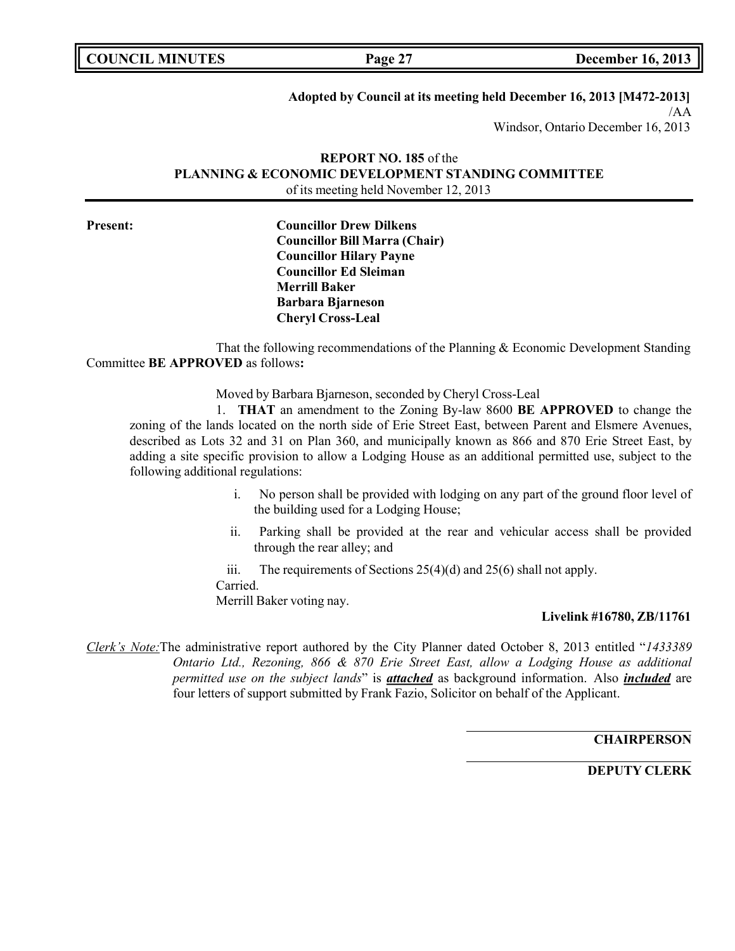| <b>COUNCIL MINUTES</b> |  |  |
|------------------------|--|--|
|------------------------|--|--|

#### **Adopted by Council at its meeting held December 16, 2013 [M472-2013]**

/AA

Windsor, Ontario December 16, 2013

#### **REPORT NO. 185** of the **PLANNING & ECONOMIC DEVELOPMENT STANDING COMMITTEE** of its meeting held November 12, 2013

**Present: Councillor Drew Dilkens Councillor Bill Marra (Chair) Councillor Hilary Payne Councillor Ed Sleiman Merrill Baker Barbara Bjarneson Cheryl Cross-Leal**

That the following recommendations of the Planning & Economic Development Standing Committee **BE APPROVED** as follows**:**

Moved by Barbara Bjarneson, seconded by Cheryl Cross-Leal

1. **THAT** an amendment to the Zoning By-law 8600 **BE APPROVED** to change the zoning of the lands located on the north side of Erie Street East, between Parent and Elsmere Avenues, described as Lots 32 and 31 on Plan 360, and municipally known as 866 and 870 Erie Street East, by adding a site specific provision to allow a Lodging House as an additional permitted use, subject to the following additional regulations:

- i. No person shall be provided with lodging on any part of the ground floor level of the building used for a Lodging House;
- ii. Parking shall be provided at the rear and vehicular access shall be provided through the rear alley; and

iii. The requirements of Sections  $25(4)(d)$  and  $25(6)$  shall not apply. Carried. Merrill Baker voting nay.

#### **Livelink #16780, ZB/11761**

*Clerk's Note:*The administrative report authored by the City Planner dated October 8, 2013 entitled "*1433389 Ontario Ltd., Rezoning, 866 & 870 Erie Street East, allow a Lodging House as additional permitted use on the subject lands*" is *attached* as background information. Also *included* are four letters of support submitted by Frank Fazio, Solicitor on behalf of the Applicant.

**CHAIRPERSON**

**DEPUTY CLERK**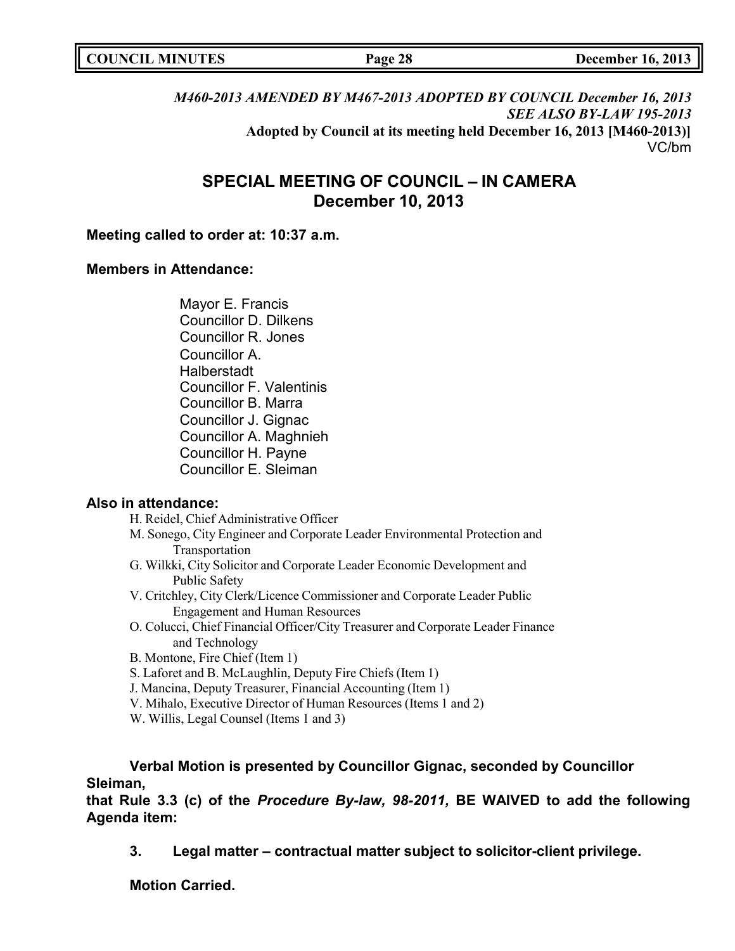|  | <b>COUNCIL MINUTES</b> |
|--|------------------------|
|--|------------------------|

# *M460-2013 AMENDED BY M467-2013 ADOPTED BY COUNCIL December 16, 2013 SEE ALSO BY-LAW 195-2013* **Adopted by Council at its meeting held December 16, 2013 [M460-2013)]** VC/bm

# **SPECIAL MEETING OF COUNCIL – IN CAMERA December 10, 2013**

## **Meeting called to order at: 10:37 a.m.**

## **Members in Attendance:**

Mayor E. Francis Councillor D. Dilkens Councillor R. Jones Councillor A. **Halberstadt** Councillor F. Valentinis Councillor B. Marra Councillor J. Gignac Councillor A. Maghnieh Councillor H. Payne Councillor E. Sleiman

# **Also in attendance:**

H. Reidel, Chief Administrative Officer M. Sonego, City Engineer and Corporate Leader Environmental Protection and Transportation G. Wilkki, City Solicitor and Corporate Leader Economic Development and Public Safety V. Critchley, City Clerk/Licence Commissioner and Corporate Leader Public Engagement and Human Resources O. Colucci, Chief Financial Officer/City Treasurer and Corporate Leader Finance and Technology B. Montone, Fire Chief (Item 1) S. Laforet and B. McLaughlin, Deputy Fire Chiefs (Item 1) J. Mancina, Deputy Treasurer, Financial Accounting (Item 1) V. Mihalo, Executive Director of Human Resources (Items 1 and 2) W. Willis, Legal Counsel (Items 1 and 3)

**Verbal Motion is presented by Councillor Gignac, seconded by Councillor Sleiman,**

**that Rule 3.3 (c) of the** *Procedure By-law, 98-2011,* **BE WAIVED to add the following Agenda item:**

**3. Legal matter – contractual matter subject to solicitor-client privilege.**

**Motion Carried.**

**COUNCIL MINUTES Page 28 December 16, 2013**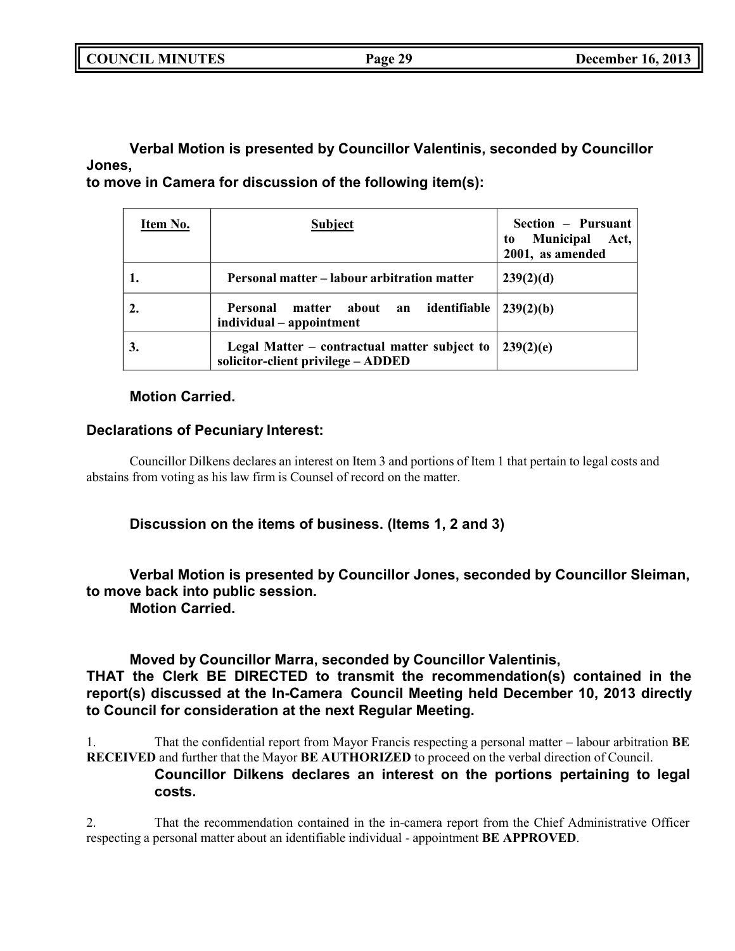**COUNCIL MINUTES Page 29 December 16, 2013**

**Verbal Motion is presented by Councillor Valentinis, seconded by Councillor Jones,**

**to move in Camera for discussion of the following item(s):**

| Item No.         | <b>Subject</b>                                                                     | Section - Pursuant<br>Municipal Act,<br>to<br>2001, as amended |
|------------------|------------------------------------------------------------------------------------|----------------------------------------------------------------|
|                  | Personal matter - labour arbitration matter                                        | 239(2)(d)                                                      |
| $\overline{2}$ . | matter about an identifiable<br><b>Personal</b><br>individual – appointment        | 239(2)(b)                                                      |
| 3.               | Legal Matter – contractual matter subject to<br>solicitor-client privilege - ADDED | $-239(2)(e)$                                                   |

# **Motion Carried.**

# **Declarations of Pecuniary Interest:**

Councillor Dilkens declares an interest on Item 3 and portions of Item 1 that pertain to legal costs and abstains from voting as his law firm is Counsel of record on the matter.

# **Discussion on the items of business. (Items 1, 2 and 3)**

# **Verbal Motion is presented by Councillor Jones, seconded by Councillor Sleiman, to move back into public session.**

**Motion Carried.**

**Moved by Councillor Marra, seconded by Councillor Valentinis, THAT the Clerk BE DIRECTED to transmit the recommendation(s) contained in the report(s) discussed at the In-Camera Council Meeting held December 10, 2013 directly to Council for consideration at the next Regular Meeting.**

1. That the confidential report from Mayor Francis respecting a personal matter – labour arbitration **BE RECEIVED** and further that the Mayor **BE AUTHORIZED** to proceed on the verbal direction of Council.

# **Councillor Dilkens declares an interest on the portions pertaining to legal costs.**

2. That the recommendation contained in the in-camera report from the Chief Administrative Officer respecting a personal matter about an identifiable individual - appointment **BE APPROVED**.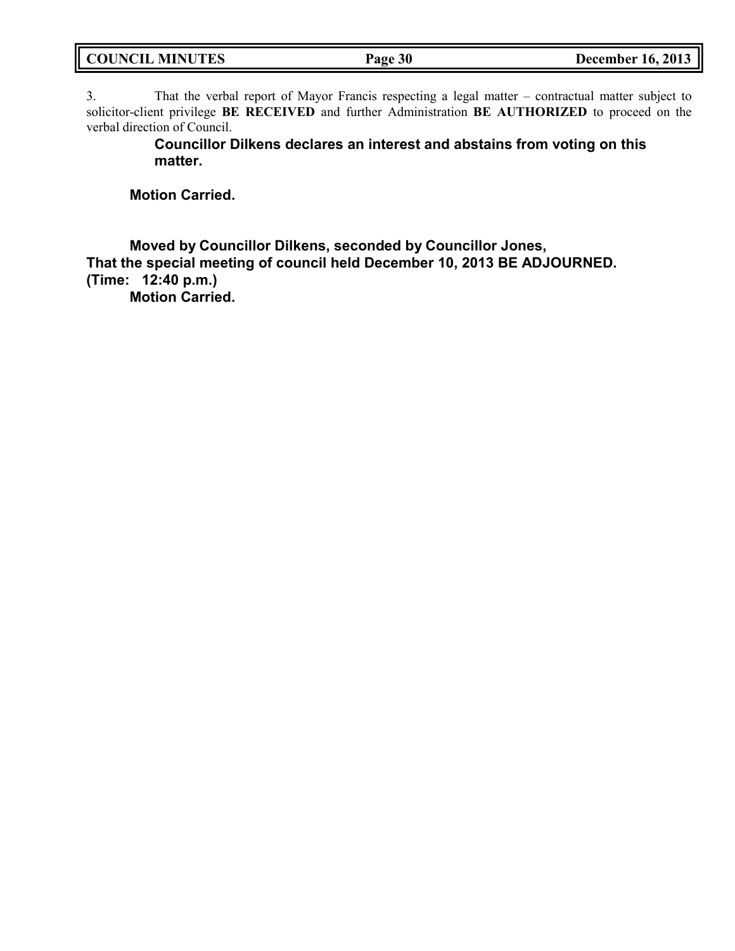| <b>COUNCIL MINUTES</b> | Page 30 | <b>December 16, 2013</b> |
|------------------------|---------|--------------------------|
|                        |         |                          |

3. That the verbal report of Mayor Francis respecting a legal matter – contractual matter subject to solicitor-client privilege **BE RECEIVED** and further Administration **BE AUTHORIZED** to proceed on the verbal direction of Council.

> **Councillor Dilkens declares an interest and abstains from voting on this matter.**

**Motion Carried.**

**Moved by Councillor Dilkens, seconded by Councillor Jones, That the special meeting of council held December 10, 2013 BE ADJOURNED. (Time: 12:40 p.m.)**

**Motion Carried.**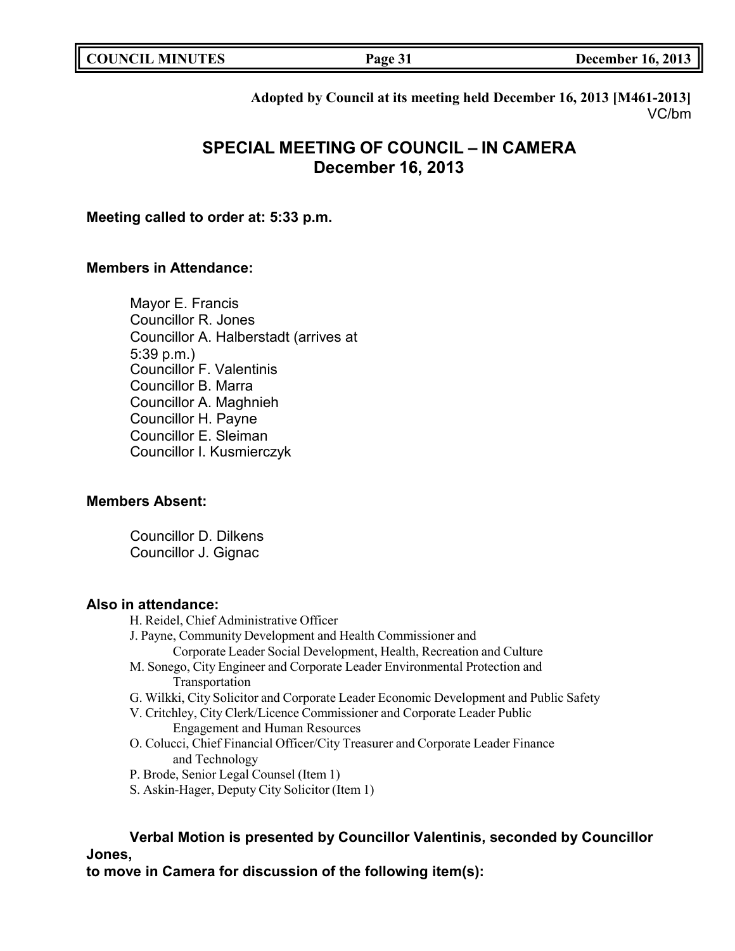| <b>COUNCIL MINUTES</b> | Page 31 | <b>December 16, 2013</b> |
|------------------------|---------|--------------------------|
|                        |         |                          |

**Adopted by Council at its meeting held December 16, 2013 [M461-2013]** VC/bm

# **SPECIAL MEETING OF COUNCIL – IN CAMERA December 16, 2013**

## **Meeting called to order at: 5:33 p.m.**

## **Members in Attendance:**

Mayor E. Francis Councillor R. Jones Councillor A. Halberstadt (arrives at 5:39 p.m.) Councillor F. Valentinis Councillor B. Marra Councillor A. Maghnieh Councillor H. Payne Councillor E. Sleiman Councillor I. Kusmierczyk

## **Members Absent:**

Councillor D. Dilkens Councillor J. Gignac

### **Also in attendance:**

H. Reidel, Chief Administrative Officer

- J. Payne, Community Development and Health Commissioner and
	- Corporate Leader Social Development, Health, Recreation and Culture
- M. Sonego, City Engineer and Corporate Leader Environmental Protection and Transportation
- G. Wilkki, City Solicitor and Corporate Leader Economic Development and Public Safety
- V. Critchley, City Clerk/Licence Commissioner and Corporate Leader Public Engagement and Human Resources
- O. Colucci, Chief Financial Officer/City Treasurer and Corporate Leader Finance and Technology
- P. Brode, Senior Legal Counsel (Item 1)
- S. Askin-Hager, Deputy City Solicitor (Item 1)

**Verbal Motion is presented by Councillor Valentinis, seconded by Councillor Jones,**

**to move in Camera for discussion of the following item(s):**